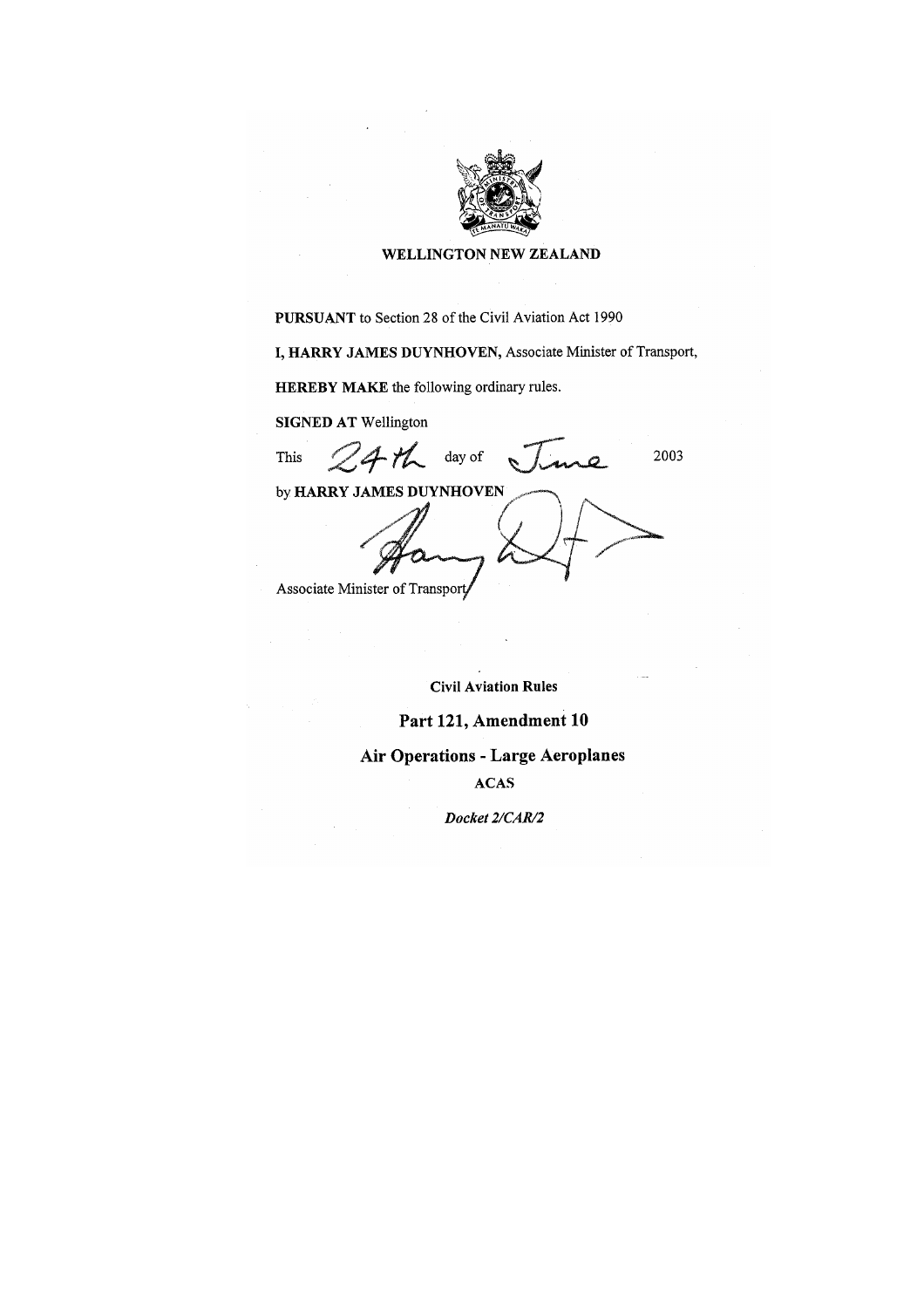

#### WELLINGTON NEW ZEALAND

PURSUANT to Section 28 of the Civil Aviation Act 1990

I, HARRY JAMES DUYNHOVEN, Associate Minister of Transport,

**HEREBY MAKE** the following ordinary rules.

**SIGNED AT Wellington** 

This

day of  $4n$ 

2003

by HARRY JAMES DUYNHOVEN

Associate Minister of Transport

**Civil Aviation Rules** 

## Part 121, Amendment 10

**Air Operations - Large Aeroplanes** 

**ACAS** 

Docket 2/CAR/2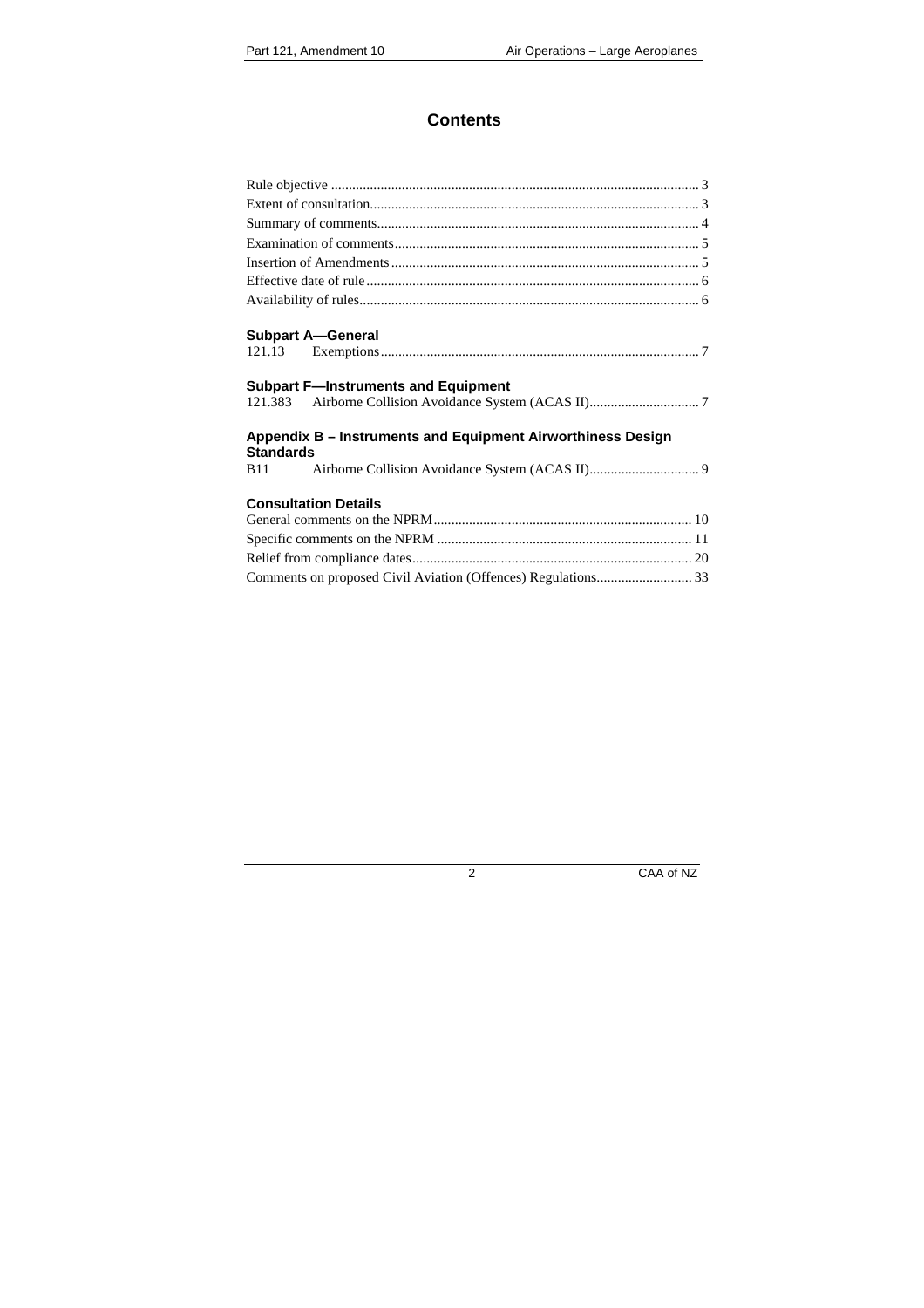## **Contents**

| <b>Subpart A-General</b>                                                        |
|---------------------------------------------------------------------------------|
|                                                                                 |
| <b>Subpart F-Instruments and Equipment</b>                                      |
|                                                                                 |
| Appendix B - Instruments and Equipment Airworthiness Design<br><b>Standards</b> |
| <b>B11</b>                                                                      |
| <b>Consultation Details</b>                                                     |
|                                                                                 |
|                                                                                 |
|                                                                                 |
|                                                                                 |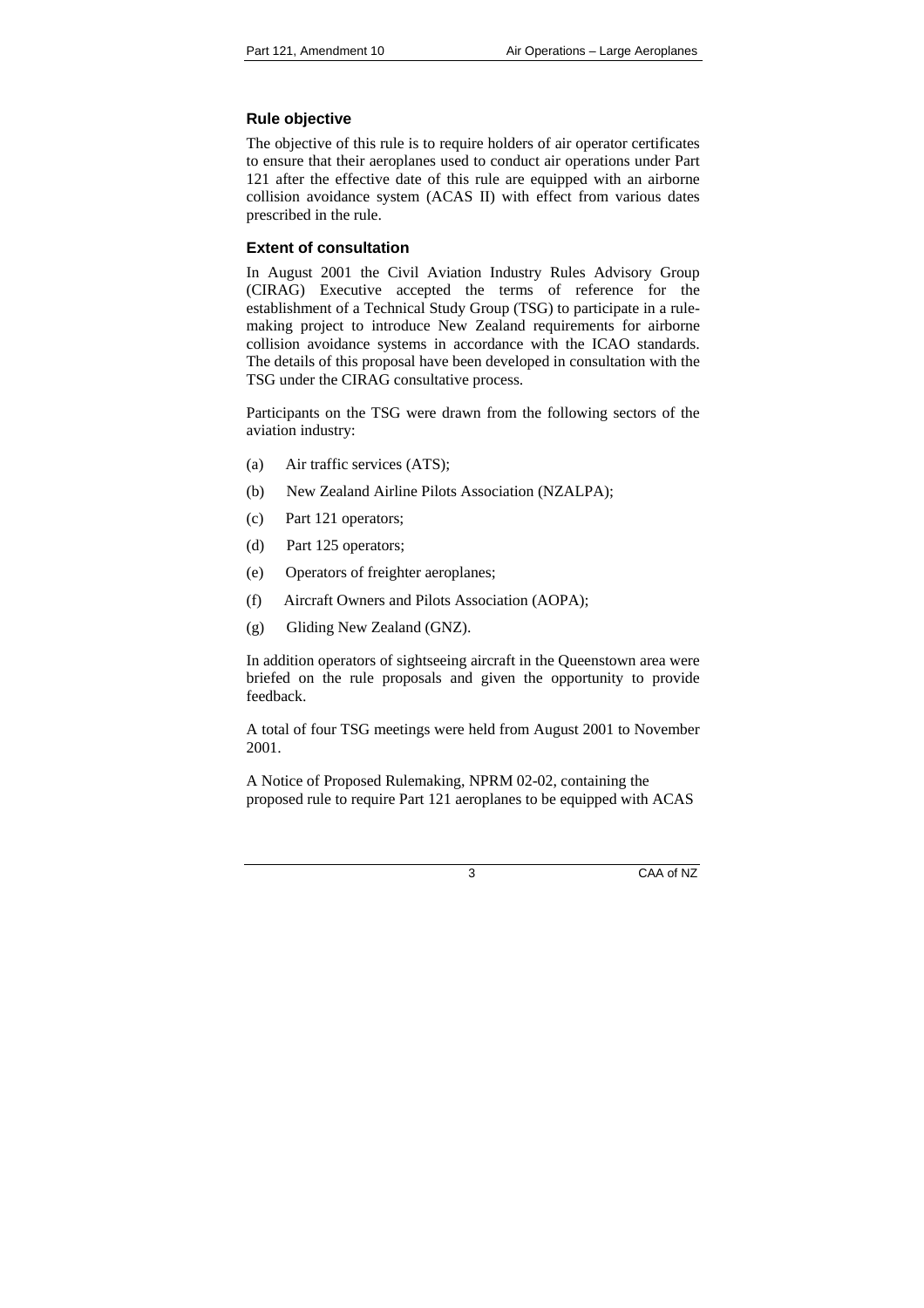## **Rule objective**

The objective of this rule is to require holders of air operator certificates to ensure that their aeroplanes used to conduct air operations under Part 121 after the effective date of this rule are equipped with an airborne collision avoidance system (ACAS II) with effect from various dates prescribed in the rule.

## <span id="page-2-0"></span>**Extent of consultation**

<span id="page-2-1"></span>In August 2001 the Civil Aviation Industry Rules Advisory Group (CIRAG) Executive accepted the terms of reference for the establishment of a Technical Study Group (TSG) to participate in a rulemaking project to introduce New Zealand requirements for airborne collision avoidance systems in accordance with the ICAO standards. The details of this proposal have been developed in consultation with the TSG under the CIRAG consultative process.

Participants on the TSG were drawn from the following sectors of the aviation industry:

- (a) Air traffic services (ATS);
- (b) New Zealand Airline Pilots Association (NZALPA);
- (c) Part 121 operators;
- (d) Part 125 operators;
- (e) Operators of freighter aeroplanes;
- (f) Aircraft Owners and Pilots Association (AOPA);
- (g) Gliding New Zealand (GNZ).

In addition operators of sightseeing aircraft in the Queenstown area were briefed on the rule proposals and given the opportunity to provide feedback.

A total of four TSG meetings were held from August 2001 to November 2001.

A Notice of Proposed Rulemaking, NPRM 02-02, containing the proposed rule to require Part 121 aeroplanes to be equipped with ACAS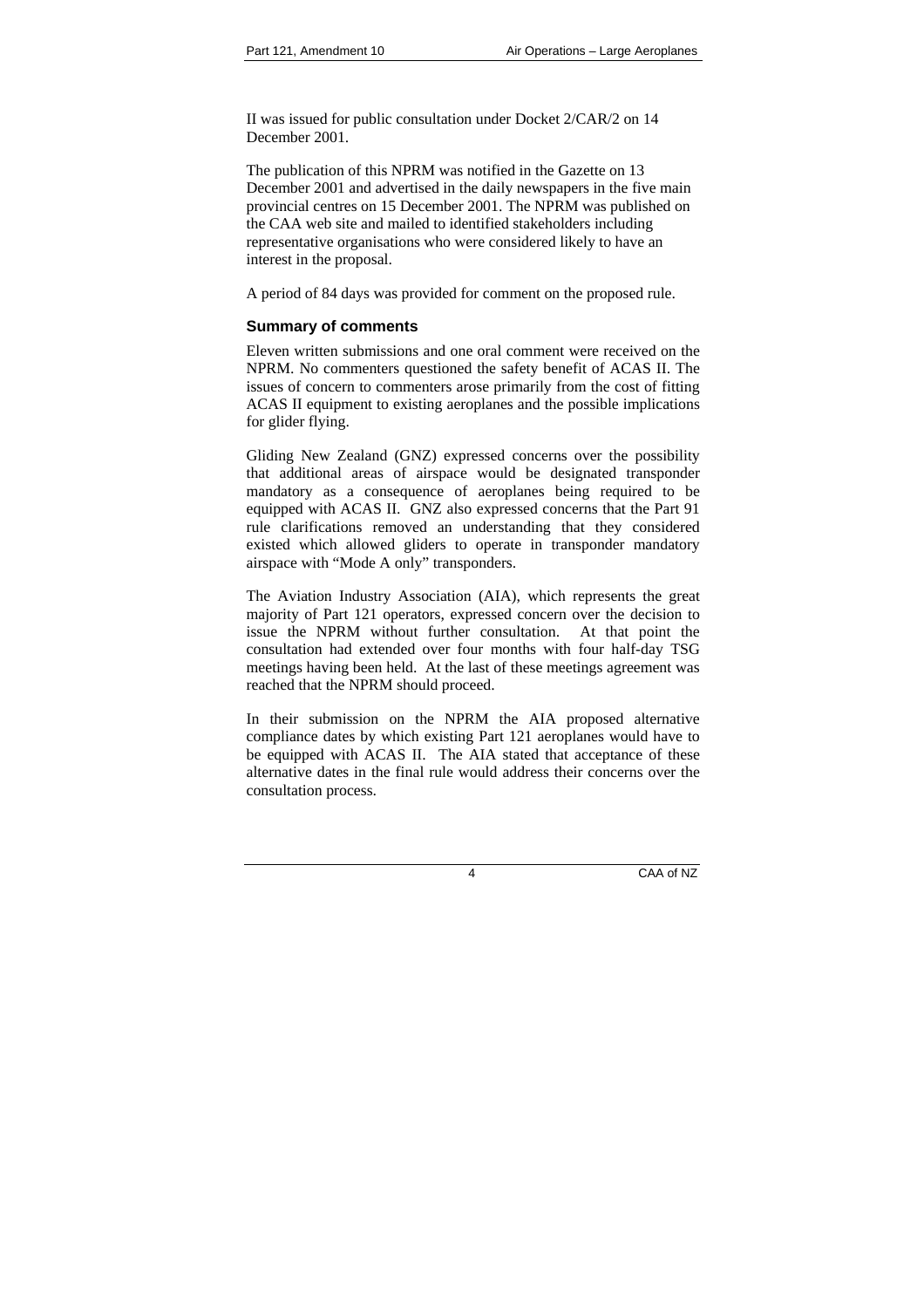II was issued for public consultation under Docket 2/CAR/2 on 14 December 2001.

The publication of this NPRM was notified in the Gazette on 13 December 2001 and advertised in the daily newspapers in the five main provincial centres on 15 December 2001. The NPRM was published on the CAA web site and mailed to identified stakeholders including representative organisations who were considered likely to have an interest in the proposal.

A period of 84 days was provided for comment on the proposed rule.

## **Summary of comments**

Eleven written submissions and one oral comment were received on the NPRM. No commenters questioned the safety benefit of ACAS II. The issues of concern to commenters arose primarily from the cost of fitting ACAS II equipment to existing aeroplanes and the possible implications for glider flying.

<span id="page-3-0"></span>Gliding New Zealand (GNZ) expressed concerns over the possibility that additional areas of airspace would be designated transponder mandatory as a consequence of aeroplanes being required to be equipped with ACAS II. GNZ also expressed concerns that the Part 91 rule clarifications removed an understanding that they considered existed which allowed gliders to operate in transponder mandatory airspace with "Mode A only" transponders.

The Aviation Industry Association (AIA), which represents the great majority of Part 121 operators, expressed concern over the decision to issue the NPRM without further consultation. At that point the consultation had extended over four months with four half-day TSG meetings having been held. At the last of these meetings agreement was reached that the NPRM should proceed.

In their submission on the NPRM the AIA proposed alternative compliance dates by which existing Part 121 aeroplanes would have to be equipped with ACAS II. The AIA stated that acceptance of these alternative dates in the final rule would address their concerns over the consultation process.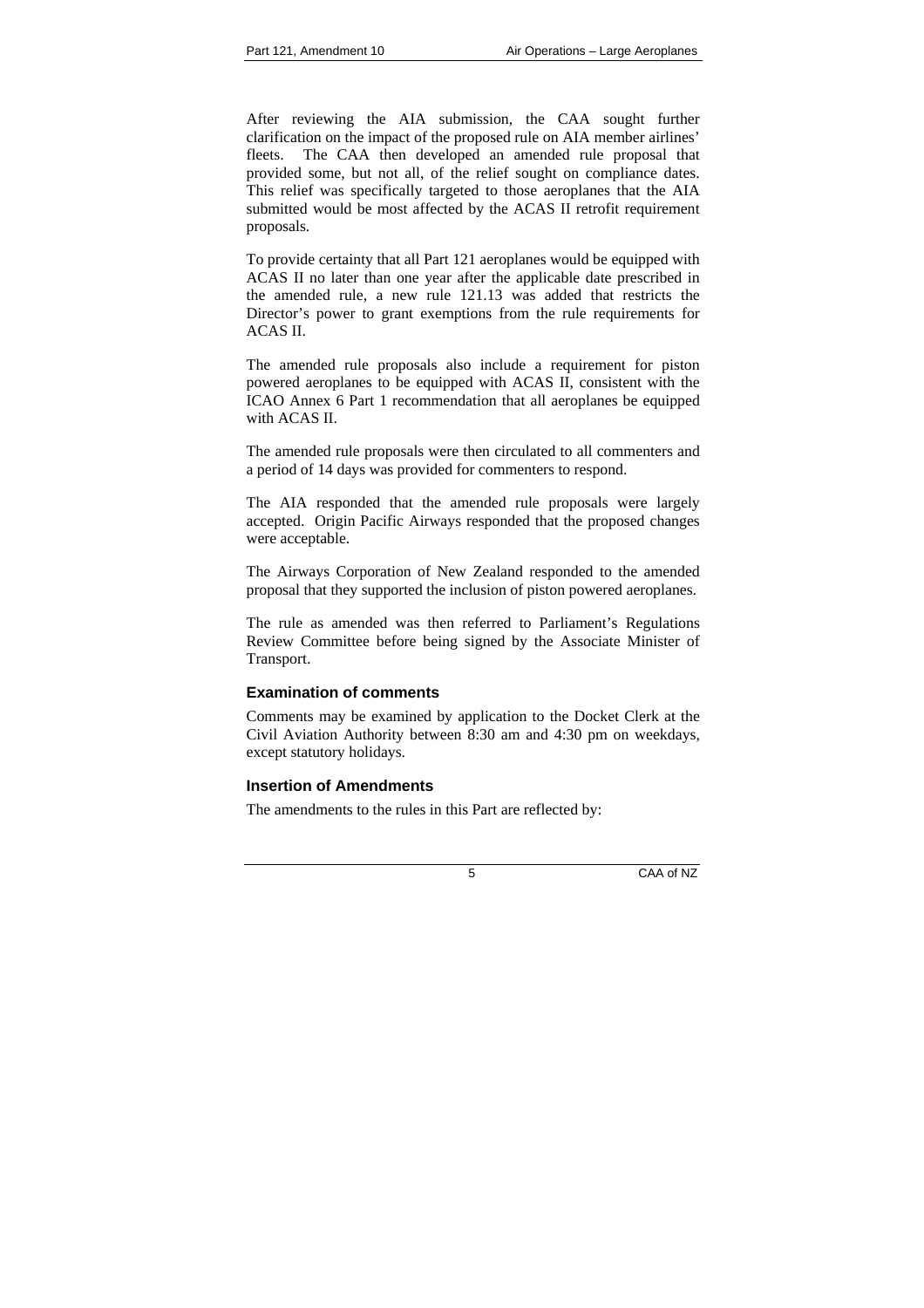After reviewing the AIA submission, the CAA sought further clarification on the impact of the proposed rule on AIA member airlines' fleets. The CAA then developed an amended rule proposal that provided some, but not all, of the relief sought on compliance dates. This relief was specifically targeted to those aeroplanes that the AIA submitted would be most affected by the ACAS II retrofit requirement proposals.

To provide certainty that all Part 121 aeroplanes would be equipped with ACAS II no later than one year after the applicable date prescribed in the amended rule, a new rule 121.13 was added that restricts the Director's power to grant exemptions from the rule requirements for ACAS II.

The amended rule proposals also include a requirement for piston powered aeroplanes to be equipped with ACAS II, consistent with the ICAO Annex 6 Part 1 recommendation that all aeroplanes be equipped with ACAS II.

The amended rule proposals were then circulated to all commenters and a period of 14 days was provided for commenters to respond.

The AIA responded that the amended rule proposals were largely accepted. Origin Pacific Airways responded that the proposed changes were acceptable.

The Airways Corporation of New Zealand responded to the amended proposal that they supported the inclusion of piston powered aeroplanes.

The rule as amended was then referred to Parliament's Regulations Review Committee before being signed by the Associate Minister of Transport.

## **Examination of comments**

Comments may be examined by application to the Docket Clerk at the Civil Aviation Authority between 8:30 am and 4:30 pm on weekdays, except statutory holidays.

## <span id="page-4-0"></span>**Insertion of Amendments**

<span id="page-4-1"></span>The amendments to the rules in this Part are reflected by: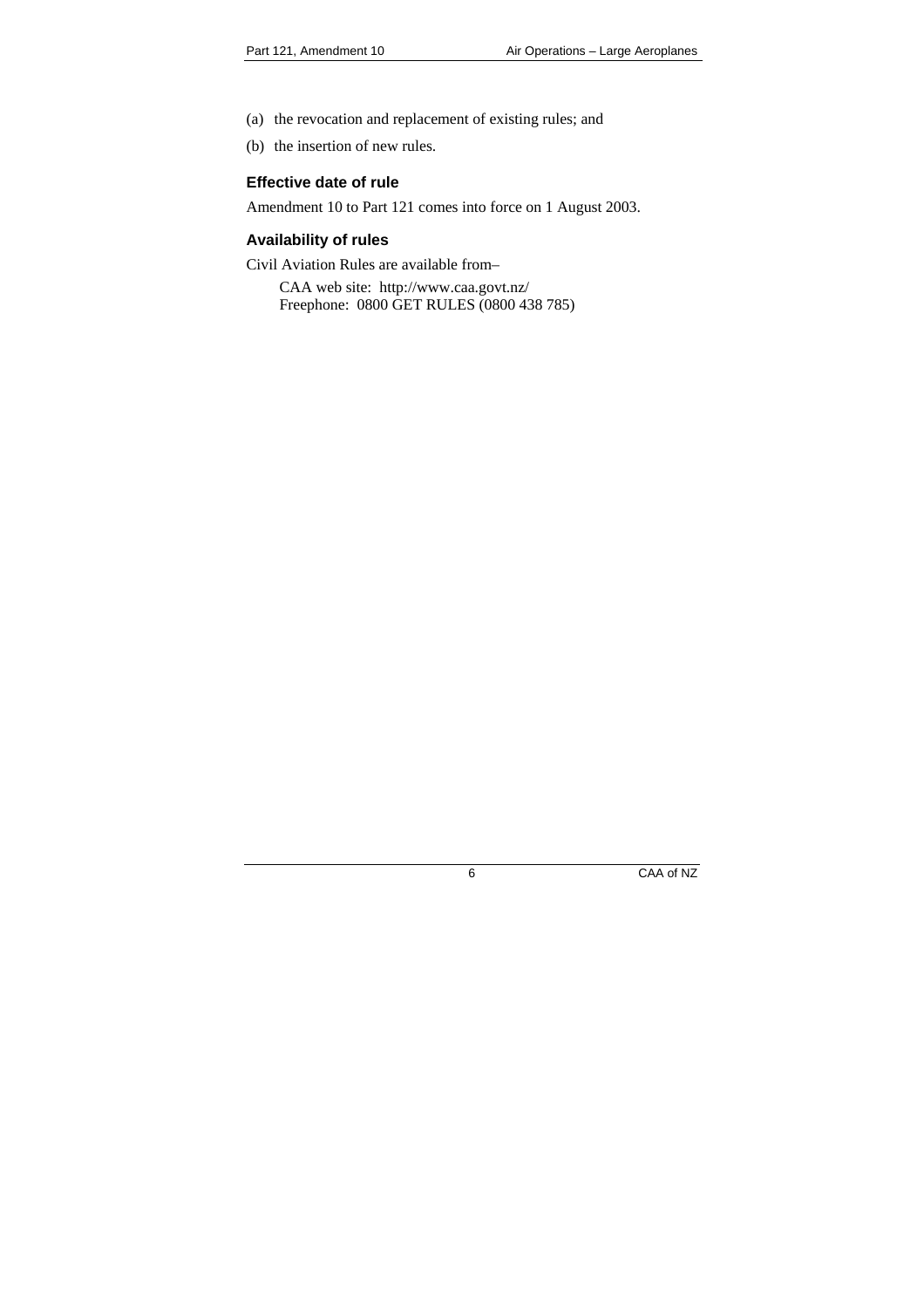- (a) the revocation and replacement of existing rules; and
- (b) the insertion of new rules.

### **Effective date of rule**

Amendment 10 to Part 121 comes into force on 1 August 2003.

## **Availability of rules**

Civil Aviation Rules are available from–

<span id="page-5-1"></span><span id="page-5-0"></span>CAA web site: http://www.caa.govt.nz/ Freephone: 0800 GET RULES (0800 438 785)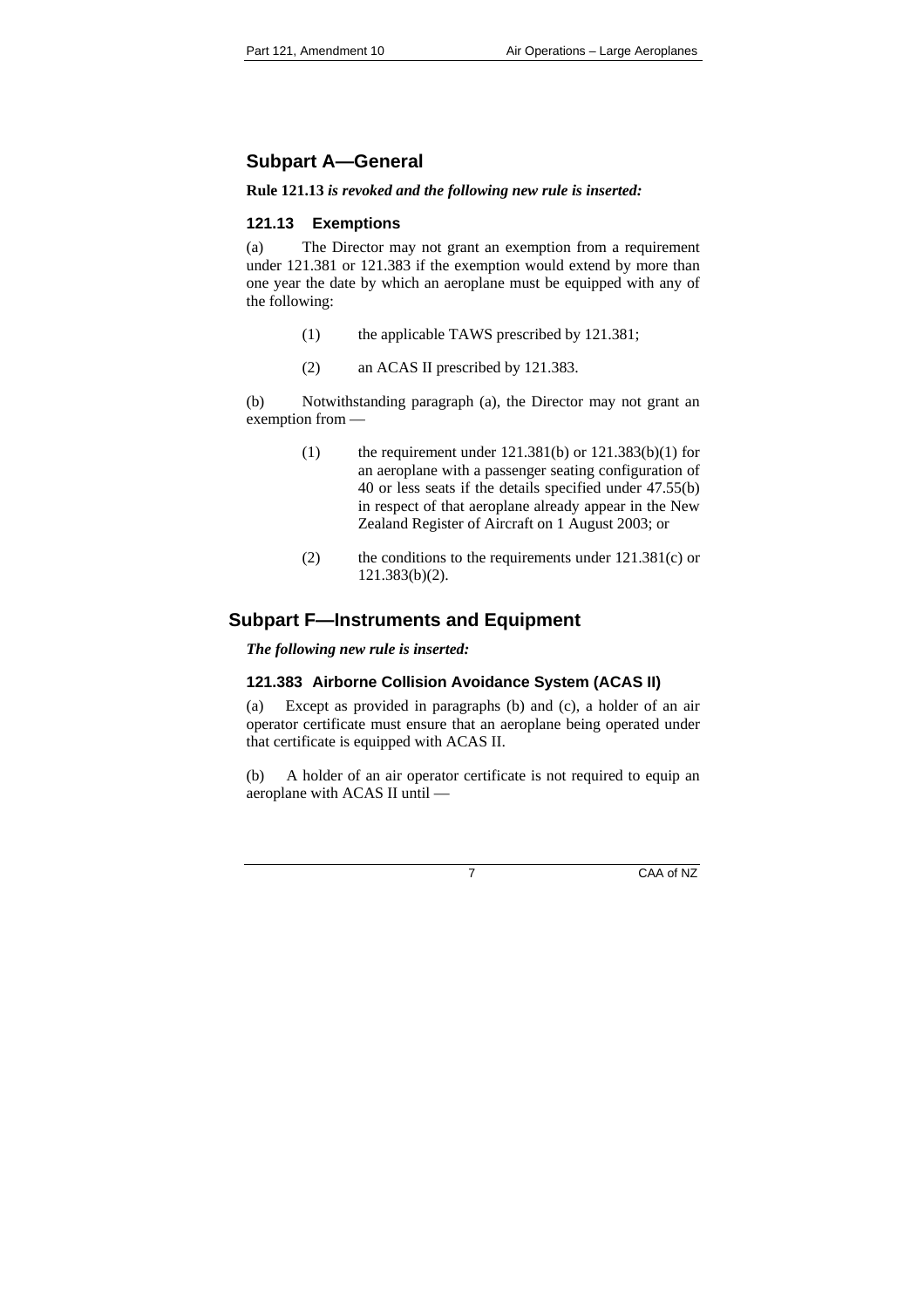# **Subpart A—General**

## **Rule 121.13** *is revoked and the following new rule is inserted:*

## **121.13 Exemptions**

(a) The Director may not grant an exemption from a requirement under 121.381 or 121.383 if the exemption would extend by more than one year the date by which an aeroplane must be equipped with any of the following:

- <span id="page-6-0"></span>(1) the applicable TAWS prescribed by 121.381;
- (2) an ACAS II prescribed by 121.383.

(b) Notwithstanding paragraph (a), the Director may not grant an exemption from —

- (1) the requirement under  $121.381(b)$  or  $121.383(b)(1)$  for an aeroplane with a passenger seating configuration of 40 or less seats if the details specified under 47.55(b) in respect of that aeroplane already appear in the New Zealand Register of Aircraft on 1 August 2003; or
- (2) the conditions to the requirements under  $121.381(c)$  or 121.383(b)(2).

## **Subpart F—Instruments and Equipment**

*The following new rule is inserted:* 

## **121.383 Airborne Collision Avoidance System (ACAS II)**

(a) Except as provided in paragraphs (b) and (c), a holder of an air operator certificate must ensure that an aeroplane being operated under that certificate is equipped with ACAS II.

<span id="page-6-1"></span>(b) A holder of an air operator certificate is not required to equip an aeroplane with ACAS II until —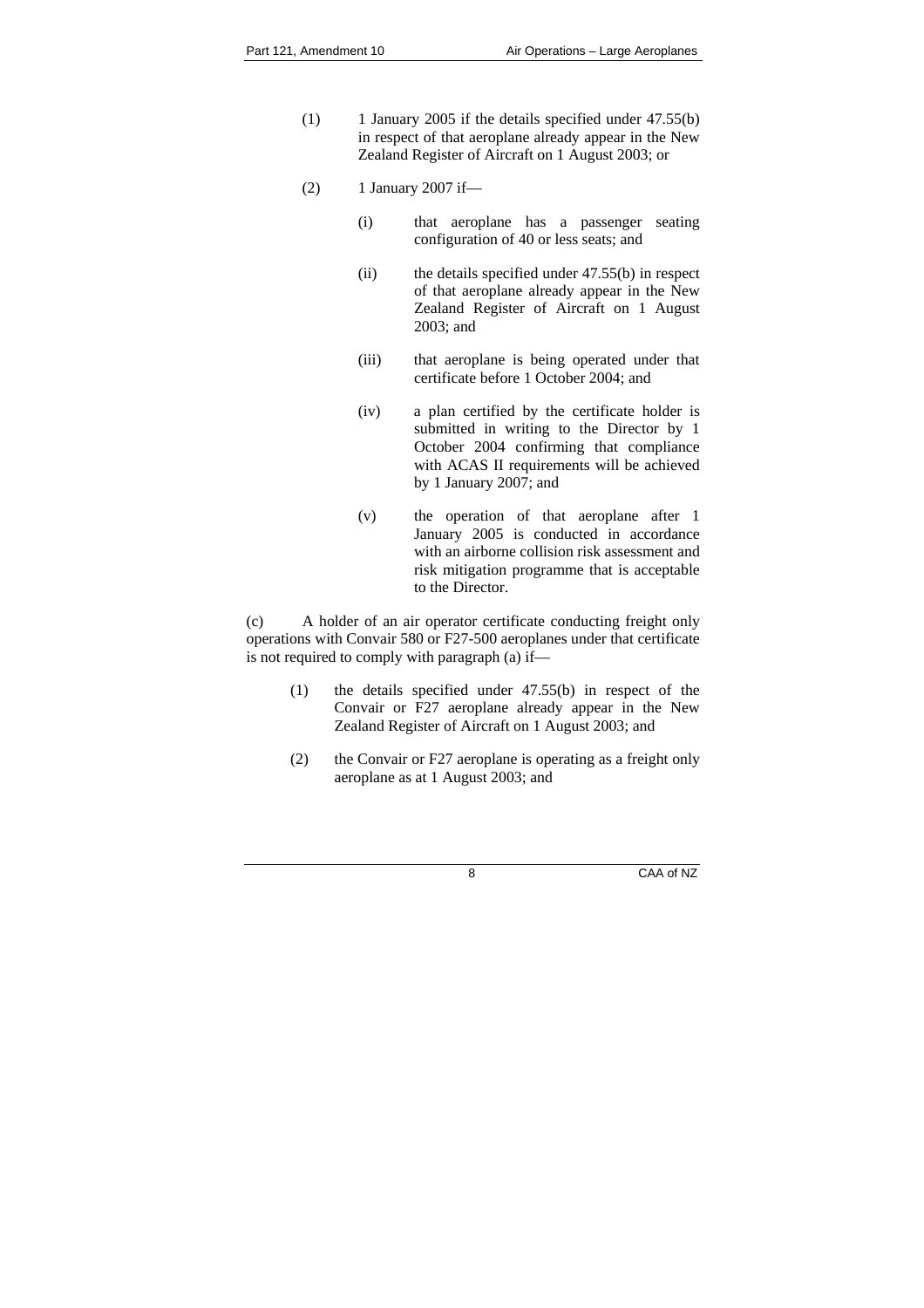- (1) 1 January 2005 if the details specified under  $47.55(b)$ in respect of that aeroplane already appear in the New Zealand Register of Aircraft on 1 August 2003; or
- $(2)$  1 January 2007 if—
	- (i) that aeroplane has a passenger seating configuration of 40 or less seats; and
	- (ii) the details specified under 47.55(b) in respect of that aeroplane already appear in the New Zealand Register of Aircraft on 1 August 2003; and
	- (iii) that aeroplane is being operated under that certificate before 1 October 2004; and
	- (iv) a plan certified by the certificate holder is submitted in writing to the Director by 1 October 2004 confirming that compliance with ACAS II requirements will be achieved by 1 January 2007; and
	- (v) the operation of that aeroplane after 1 January 2005 is conducted in accordance with an airborne collision risk assessment and risk mitigation programme that is acceptable to the Director.

(c) A holder of an air operator certificate conducting freight only operations with Convair 580 or F27-500 aeroplanes under that certificate is not required to comply with paragraph (a) if—

- (1) the details specified under 47.55(b) in respect of the Convair or F27 aeroplane already appear in the New Zealand Register of Aircraft on 1 August 2003; and
- (2) the Convair or F27 aeroplane is operating as a freight only aeroplane as at 1 August 2003; and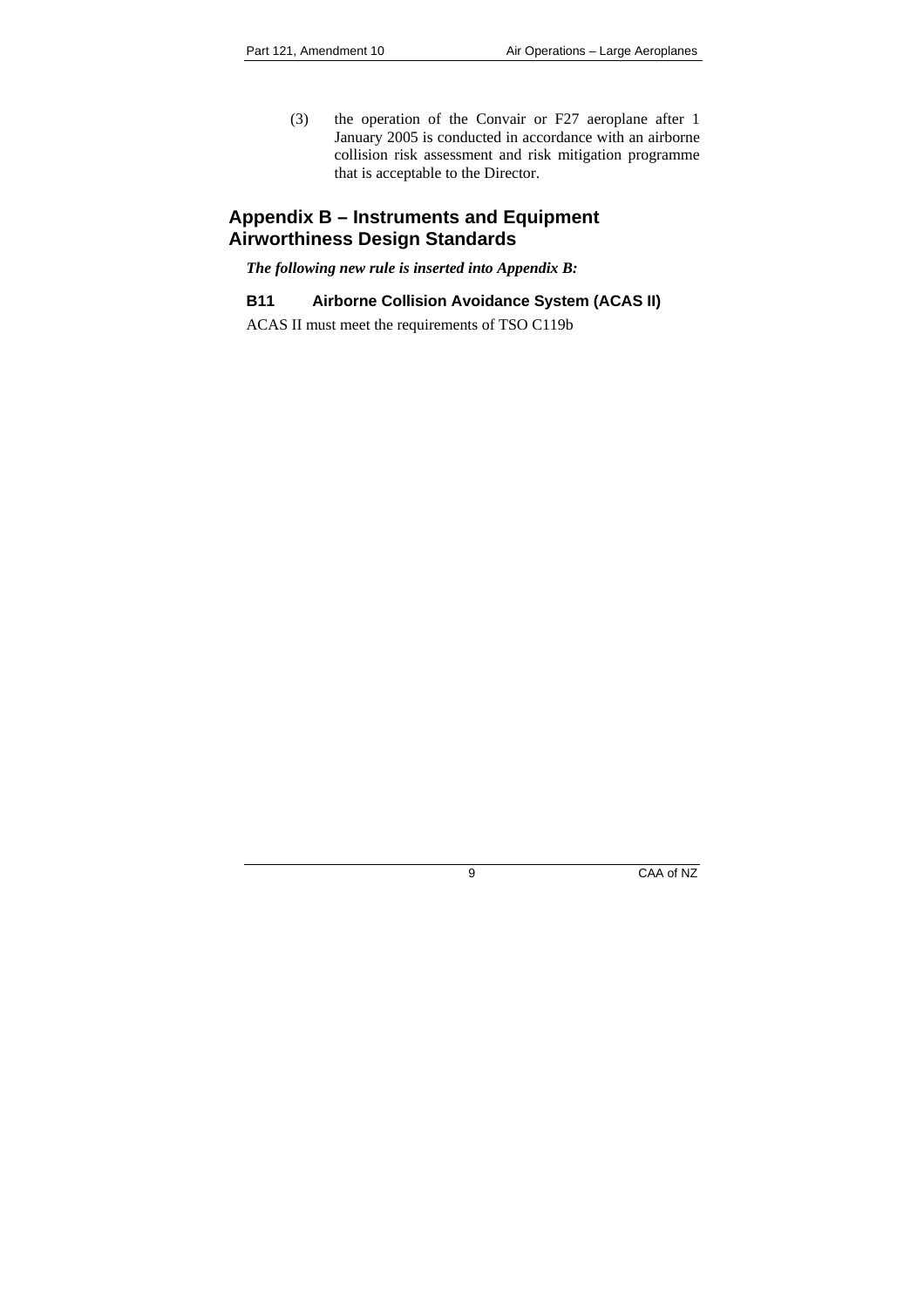(3) the operation of the Convair or F27 aeroplane after 1 January 2005 is conducted in accordance with an airborne collision risk assessment and risk mitigation programme that is acceptable to the Director.

## **Appendix B – Instruments and Equipment Airworthiness Design Standards**

*The following new rule is inserted into Appendix B:* 

## **B11 Airborne Collision Avoidance System (ACAS II)**

<span id="page-8-0"></span>ACAS II must meet the requirements of TSO C119b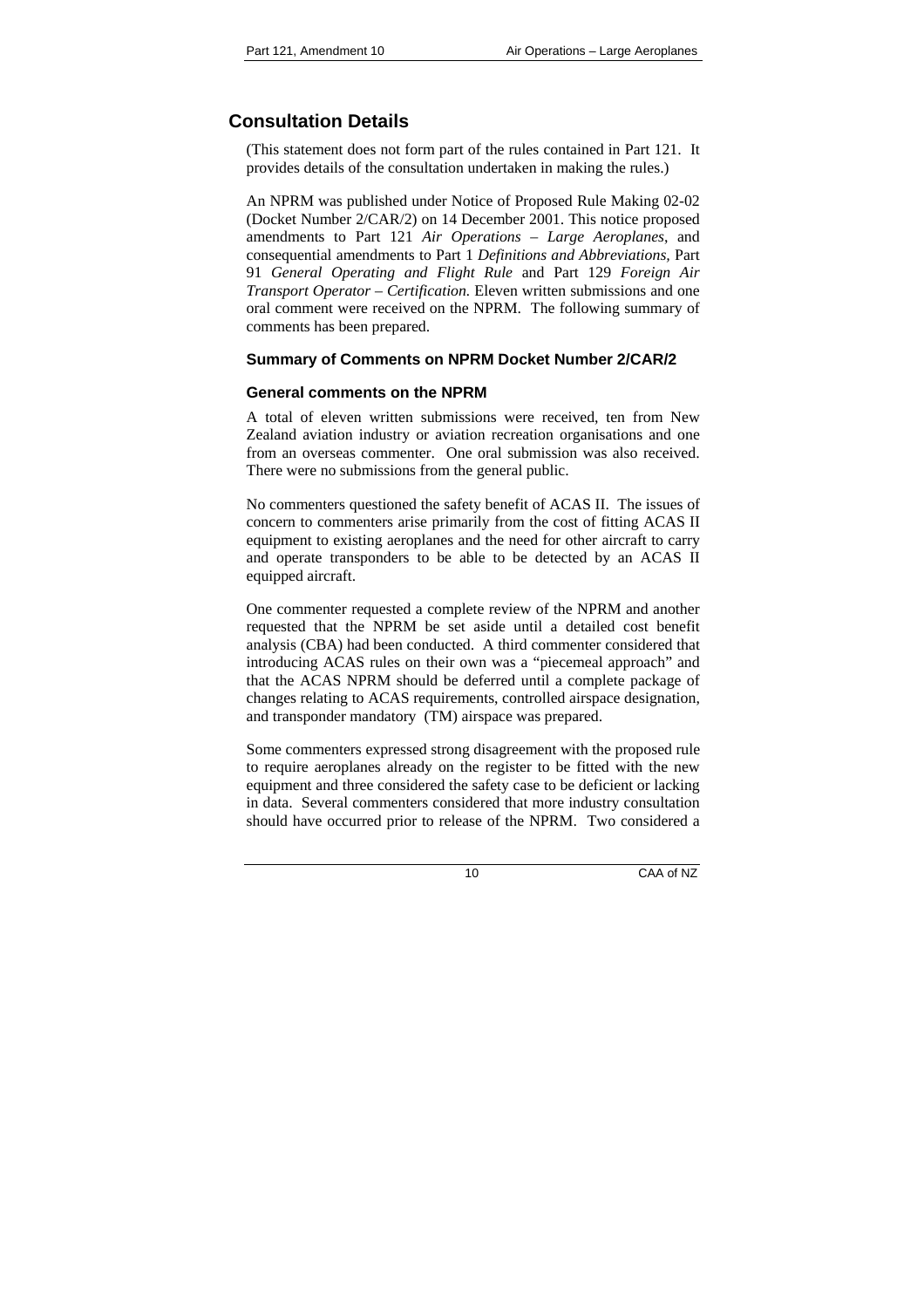# **Consultation Details**

(This statement does not form part of the rules contained in Part 121. It provides details of the consultation undertaken in making the rules.)

An NPRM was published under Notice of Proposed Rule Making 02-02 (Docket Number 2/CAR/2) on 14 December 2001. This notice proposed amendments to Part 121 *Air Operations – Large Aeroplanes*, and consequential amendments to Part 1 *Definitions and Abbreviations,* Part 91 *General Operating and Flight Rule* and Part 129 *Foreign Air Transport Operator – Certification.* Eleven written submissions and one oral comment were received on the NPRM. The following summary of comments has been prepared.

## **Summary of Comments on NPRM Docket Number 2/CAR/2**

## **General comments on the NPRM**

A total of eleven written submissions were received, ten from New Zealand aviation industry or aviation recreation organisations and one from an overseas commenter. One oral submission was also received. There were no submissions from the general public.

No commenters questioned the safety benefit of ACAS II. The issues of concern to commenters arise primarily from the cost of fitting ACAS II equipment to existing aeroplanes and the need for other aircraft to carry and operate transponders to be able to be detected by an ACAS II equipped aircraft.

One commenter requested a complete review of the NPRM and another requested that the NPRM be set aside until a detailed cost benefit analysis (CBA) had been conducted. A third commenter considered that introducing ACAS rules on their own was a "piecemeal approach" and that the ACAS NPRM should be deferred until a complete package of changes relating to ACAS requirements, controlled airspace designation, and transponder mandatory (TM) airspace was prepared.

Some commenters expressed strong disagreement with the proposed rule to require aeroplanes already on the register to be fitted with the new equipment and three considered the safety case to be deficient or lacking in data. Several commenters considered that more industry consultation should have occurred prior to release of the NPRM. Two considered a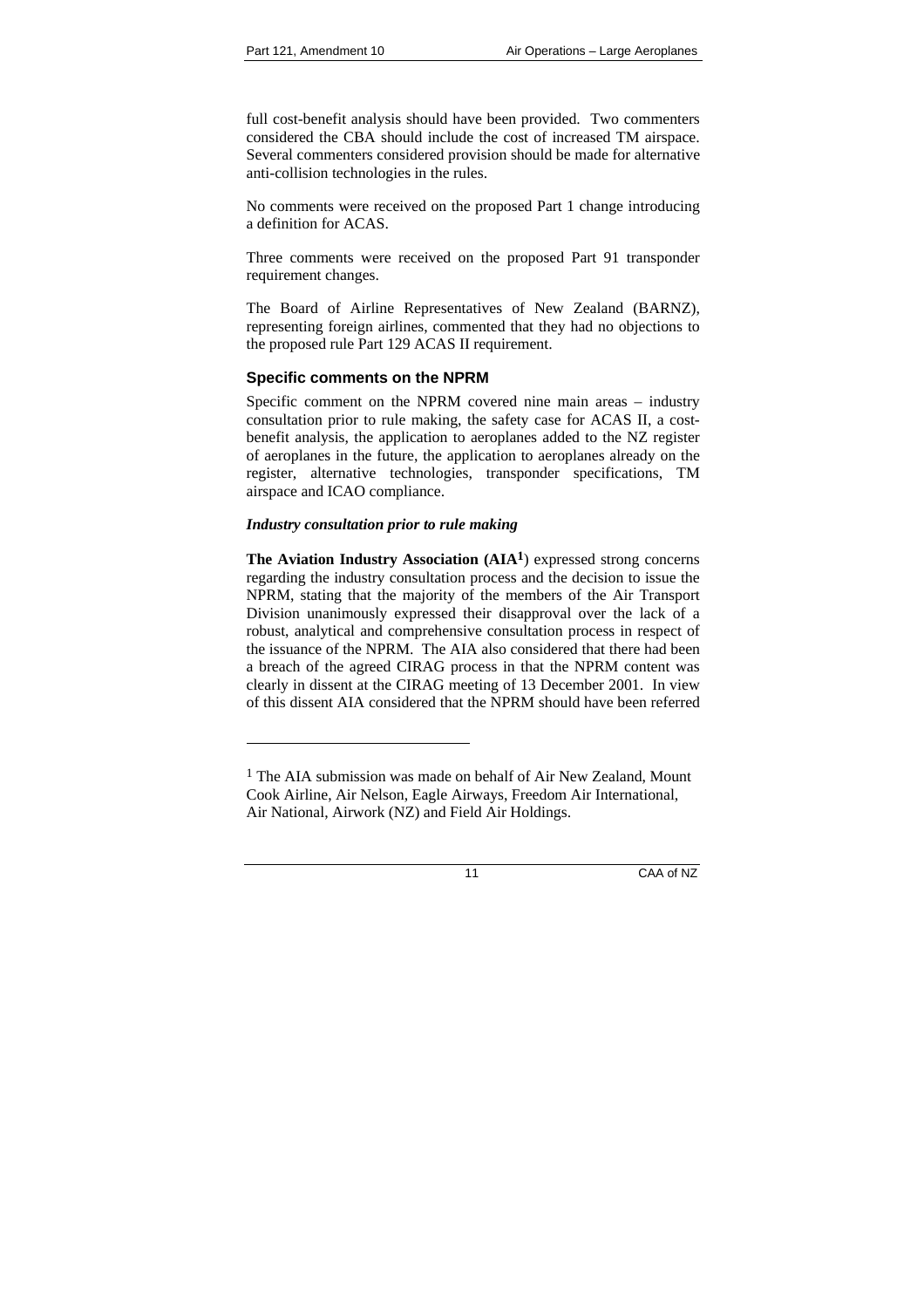full cost-benefit analysis should have been provided. Two commenters considered the CBA should include the cost of increased TM airspace. Several commenters considered provision should be made for alternative anti-collision technologies in the rules.

No comments were received on the proposed Part 1 change introducing a definition for ACAS.

Three comments were received on the proposed Part 91 transponder requirement changes.

The Board of Airline Representatives of New Zealand (BARNZ), representing foreign airlines, commented that they had no objections to the proposed rule Part 129 ACAS II requirement.

## **Specific comments on the NPRM**

Specific comment on the NPRM covered nine main areas – industry consultation prior to rule making, the safety case for ACAS II, a costbenefit analysis, the application to aeroplanes added to the NZ register of aeroplanes in the future, the application to aeroplanes already on the register, alternative technologies, transponder specifications, TM airspace and ICAO compliance.

#### *Industry consultation prior to rule making*

l

**The Aviation Industry Association (AIA1**) expressed strong concerns regarding the industry consultation process and the decision to issue the NPRM, stating that the majority of the members of the Air Transport Division unanimously expressed their disapproval over the lack of a robust, analytical and comprehensive consultation process in respect of the issuance of the NPRM. The AIA also considered that there had been a breach of the agreed CIRAG process in that the NPRM content was clearly in dissent at the CIRAG meeting of 13 December 2001. In view of this dissent AIA considered that the NPRM should have been referred

<sup>&</sup>lt;sup>1</sup> The AIA submission was made on behalf of Air New Zealand, Mount Cook Airline, Air Nelson, Eagle Airways, Freedom Air International, Air National, Airwork (NZ) and Field Air Holdings.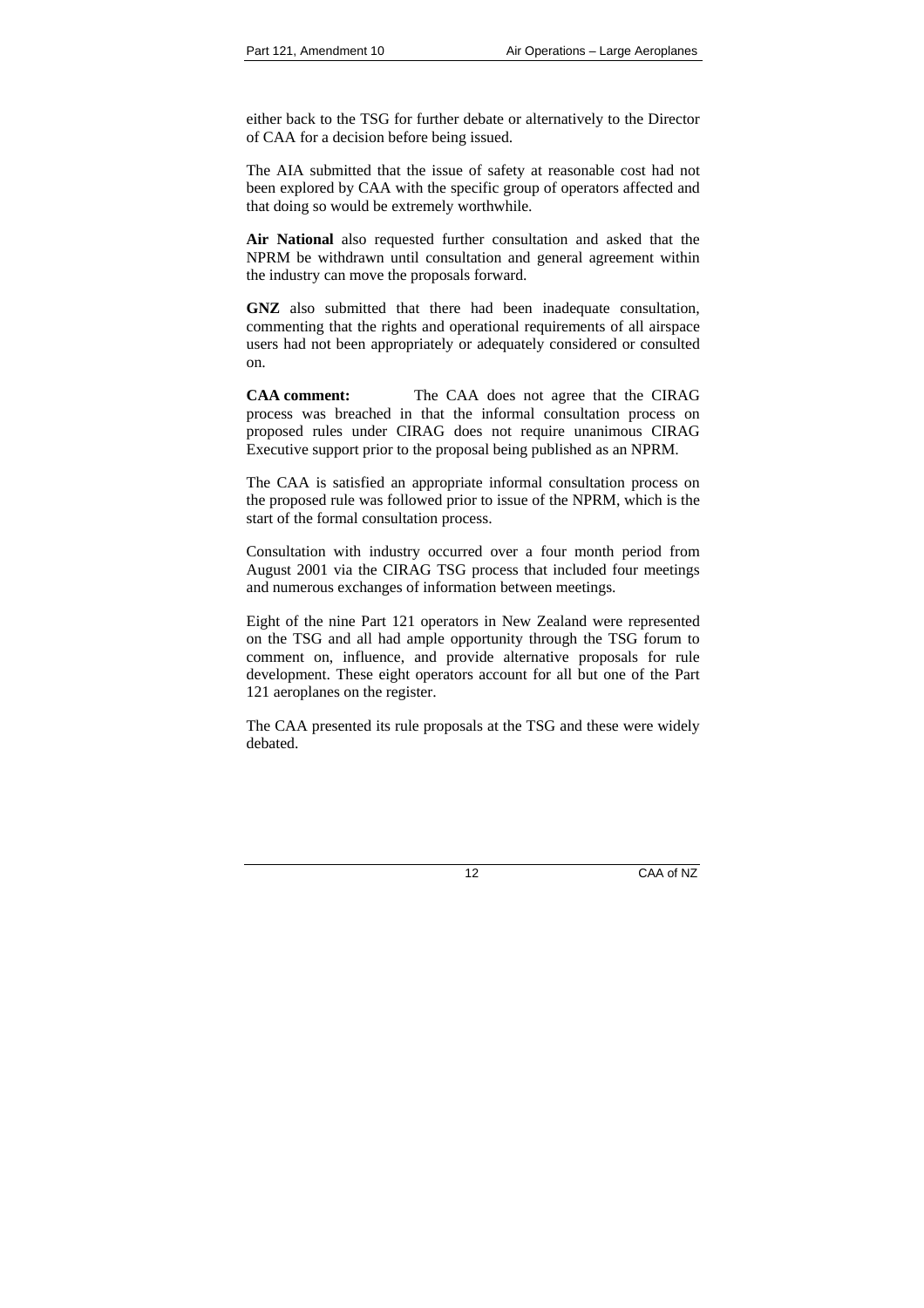either back to the TSG for further debate or alternatively to the Director of CAA for a decision before being issued.

The AIA submitted that the issue of safety at reasonable cost had not been explored by CAA with the specific group of operators affected and that doing so would be extremely worthwhile.

**Air National** also requested further consultation and asked that the NPRM be withdrawn until consultation and general agreement within the industry can move the proposals forward.

**GNZ** also submitted that there had been inadequate consultation, commenting that the rights and operational requirements of all airspace users had not been appropriately or adequately considered or consulted on.

**CAA comment:** The CAA does not agree that the CIRAG process was breached in that the informal consultation process on proposed rules under CIRAG does not require unanimous CIRAG Executive support prior to the proposal being published as an NPRM.

The CAA is satisfied an appropriate informal consultation process on the proposed rule was followed prior to issue of the NPRM, which is the start of the formal consultation process.

Consultation with industry occurred over a four month period from August 2001 via the CIRAG TSG process that included four meetings and numerous exchanges of information between meetings.

Eight of the nine Part 121 operators in New Zealand were represented on the TSG and all had ample opportunity through the TSG forum to comment on, influence, and provide alternative proposals for rule development. These eight operators account for all but one of the Part 121 aeroplanes on the register.

The CAA presented its rule proposals at the TSG and these were widely debated.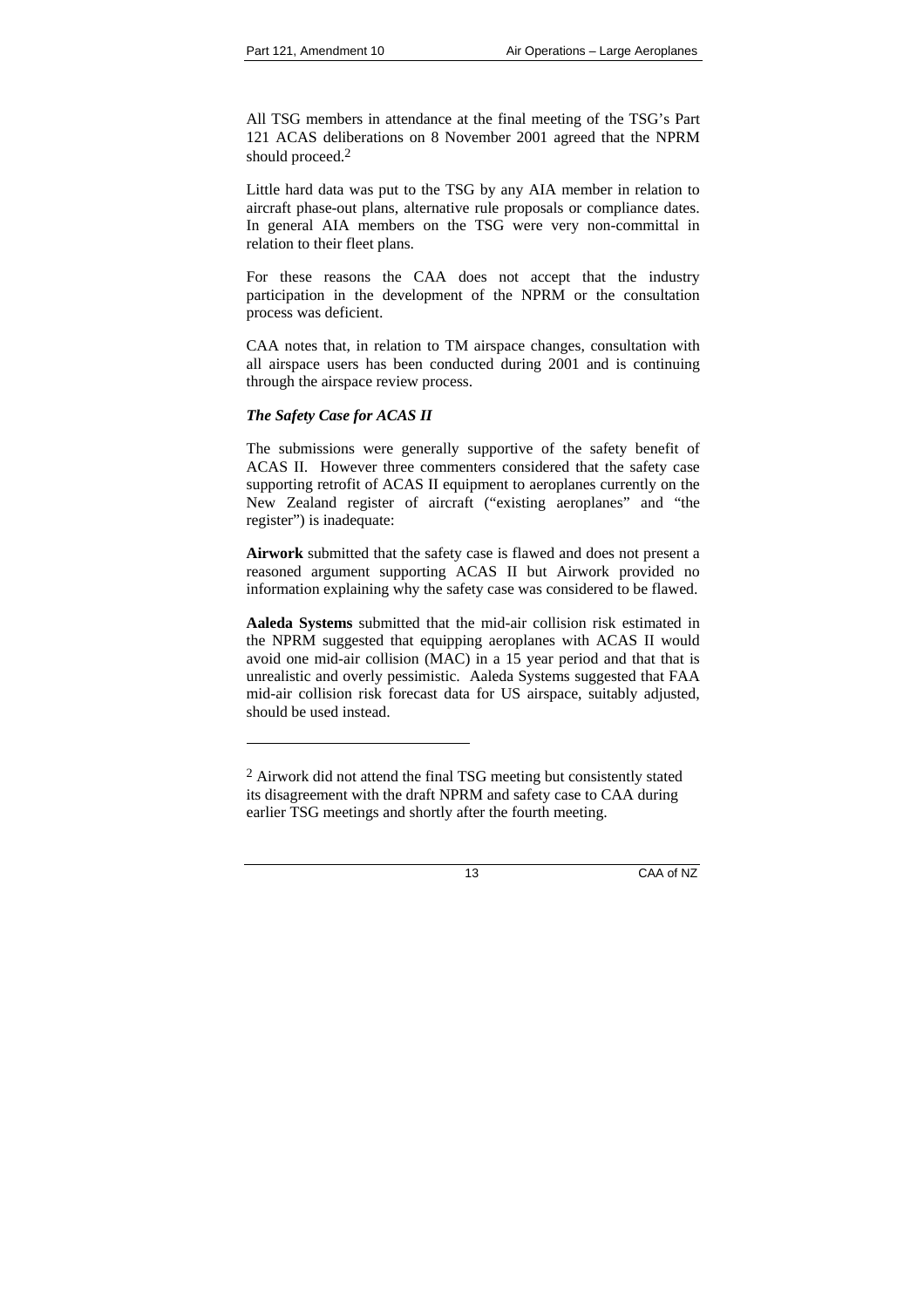All TSG members in attendance at the final meeting of the TSG's Part 121 ACAS deliberations on 8 November 2001 agreed that the NPRM should proceed.<sup>2</sup>

Little hard data was put to the TSG by any AIA member in relation to aircraft phase-out plans, alternative rule proposals or compliance dates. In general AIA members on the TSG were very non-committal in relation to their fleet plans.

For these reasons the CAA does not accept that the industry participation in the development of the NPRM or the consultation process was deficient.

CAA notes that, in relation to TM airspace changes, consultation with all airspace users has been conducted during 2001 and is continuing through the airspace review process.

## *The Safety Case for ACAS II*

l

The submissions were generally supportive of the safety benefit of ACAS II. However three commenters considered that the safety case supporting retrofit of ACAS II equipment to aeroplanes currently on the New Zealand register of aircraft ("existing aeroplanes" and "the register") is inadequate:

**Airwork** submitted that the safety case is flawed and does not present a reasoned argument supporting ACAS II but Airwork provided no information explaining why the safety case was considered to be flawed.

**Aaleda Systems** submitted that the mid-air collision risk estimated in the NPRM suggested that equipping aeroplanes with ACAS II would avoid one mid-air collision (MAC) in a 15 year period and that that is unrealistic and overly pessimistic. Aaleda Systems suggested that FAA mid-air collision risk forecast data for US airspace, suitably adjusted, should be used instead.

 $2$  Airwork did not attend the final TSG meeting but consistently stated its disagreement with the draft NPRM and safety case to CAA during earlier TSG meetings and shortly after the fourth meeting.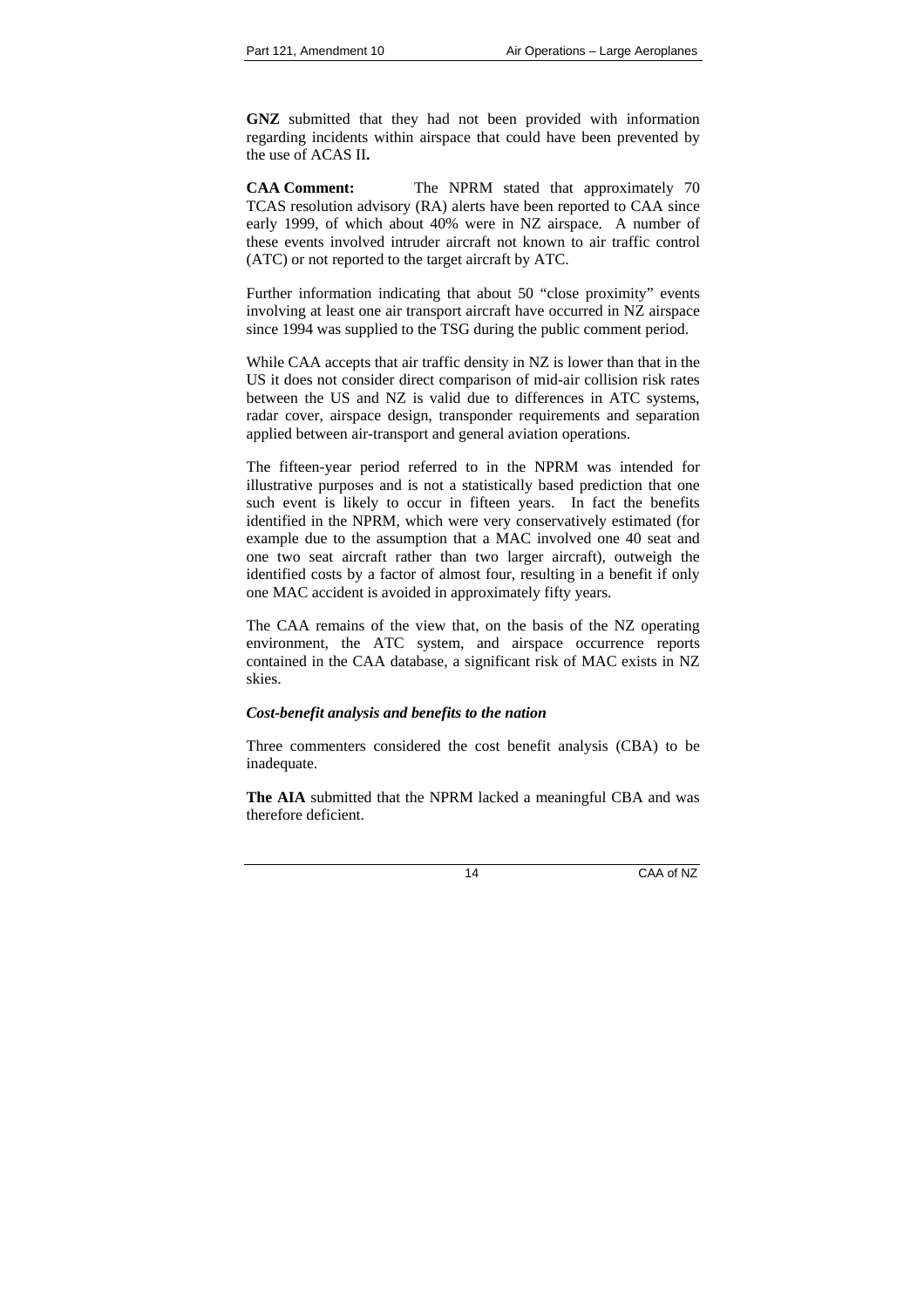**GNZ** submitted that they had not been provided with information regarding incidents within airspace that could have been prevented by the use of ACAS II**.** 

**CAA Comment:** The NPRM stated that approximately 70 TCAS resolution advisory (RA) alerts have been reported to CAA since early 1999, of which about 40% were in NZ airspace. A number of these events involved intruder aircraft not known to air traffic control (ATC) or not reported to the target aircraft by ATC.

Further information indicating that about 50 "close proximity" events involving at least one air transport aircraft have occurred in NZ airspace since 1994 was supplied to the TSG during the public comment period.

While CAA accepts that air traffic density in NZ is lower than that in the US it does not consider direct comparison of mid-air collision risk rates between the US and NZ is valid due to differences in ATC systems, radar cover, airspace design, transponder requirements and separation applied between air-transport and general aviation operations.

The fifteen-year period referred to in the NPRM was intended for illustrative purposes and is not a statistically based prediction that one such event is likely to occur in fifteen years. In fact the benefits identified in the NPRM, which were very conservatively estimated (for example due to the assumption that a MAC involved one 40 seat and one two seat aircraft rather than two larger aircraft), outweigh the identified costs by a factor of almost four, resulting in a benefit if only one MAC accident is avoided in approximately fifty years.

The CAA remains of the view that, on the basis of the NZ operating environment, the ATC system, and airspace occurrence reports contained in the CAA database, a significant risk of MAC exists in NZ skies.

#### *Cost-benefit analysis and benefits to the nation*

Three commenters considered the cost benefit analysis (CBA) to be inadequate.

**The AIA** submitted that the NPRM lacked a meaningful CBA and was therefore deficient.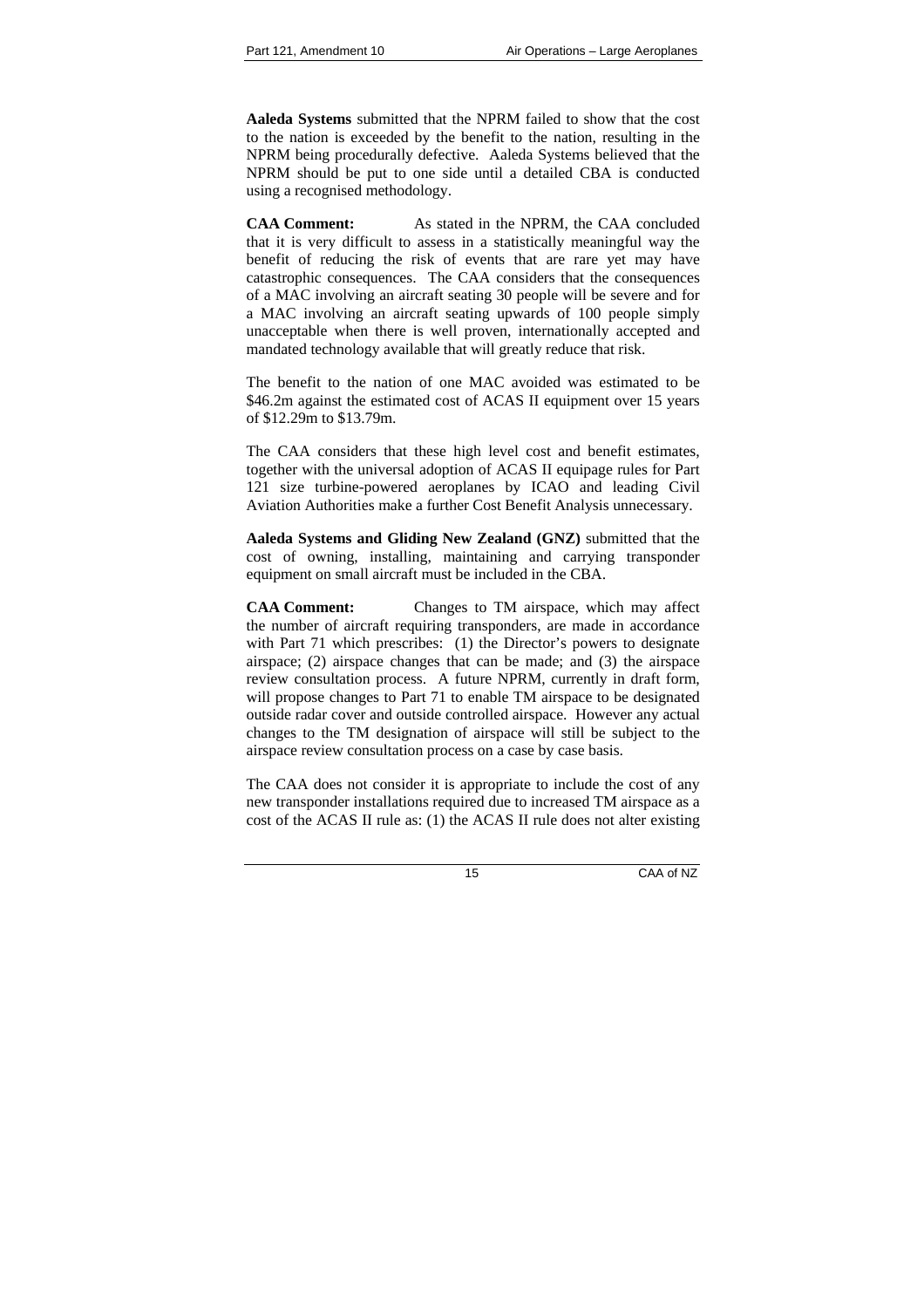**Aaleda Systems** submitted that the NPRM failed to show that the cost to the nation is exceeded by the benefit to the nation, resulting in the NPRM being procedurally defective. Aaleda Systems believed that the NPRM should be put to one side until a detailed CBA is conducted using a recognised methodology.

**CAA Comment:** As stated in the NPRM, the CAA concluded that it is very difficult to assess in a statistically meaningful way the benefit of reducing the risk of events that are rare yet may have catastrophic consequences. The CAA considers that the consequences of a MAC involving an aircraft seating 30 people will be severe and for a MAC involving an aircraft seating upwards of 100 people simply unacceptable when there is well proven, internationally accepted and mandated technology available that will greatly reduce that risk.

The benefit to the nation of one MAC avoided was estimated to be \$46.2m against the estimated cost of ACAS II equipment over 15 years of \$12.29m to \$13.79m.

The CAA considers that these high level cost and benefit estimates, together with the universal adoption of ACAS II equipage rules for Part 121 size turbine-powered aeroplanes by ICAO and leading Civil Aviation Authorities make a further Cost Benefit Analysis unnecessary.

**Aaleda Systems and Gliding New Zealand (GNZ)** submitted that the cost of owning, installing, maintaining and carrying transponder equipment on small aircraft must be included in the CBA.

**CAA Comment:** Changes to TM airspace, which may affect the number of aircraft requiring transponders, are made in accordance with Part 71 which prescribes: (1) the Director's powers to designate airspace; (2) airspace changes that can be made; and (3) the airspace review consultation process. A future NPRM, currently in draft form, will propose changes to Part 71 to enable TM airspace to be designated outside radar cover and outside controlled airspace. However any actual changes to the TM designation of airspace will still be subject to the airspace review consultation process on a case by case basis.

The CAA does not consider it is appropriate to include the cost of any new transponder installations required due to increased TM airspace as a cost of the ACAS II rule as: (1) the ACAS II rule does not alter existing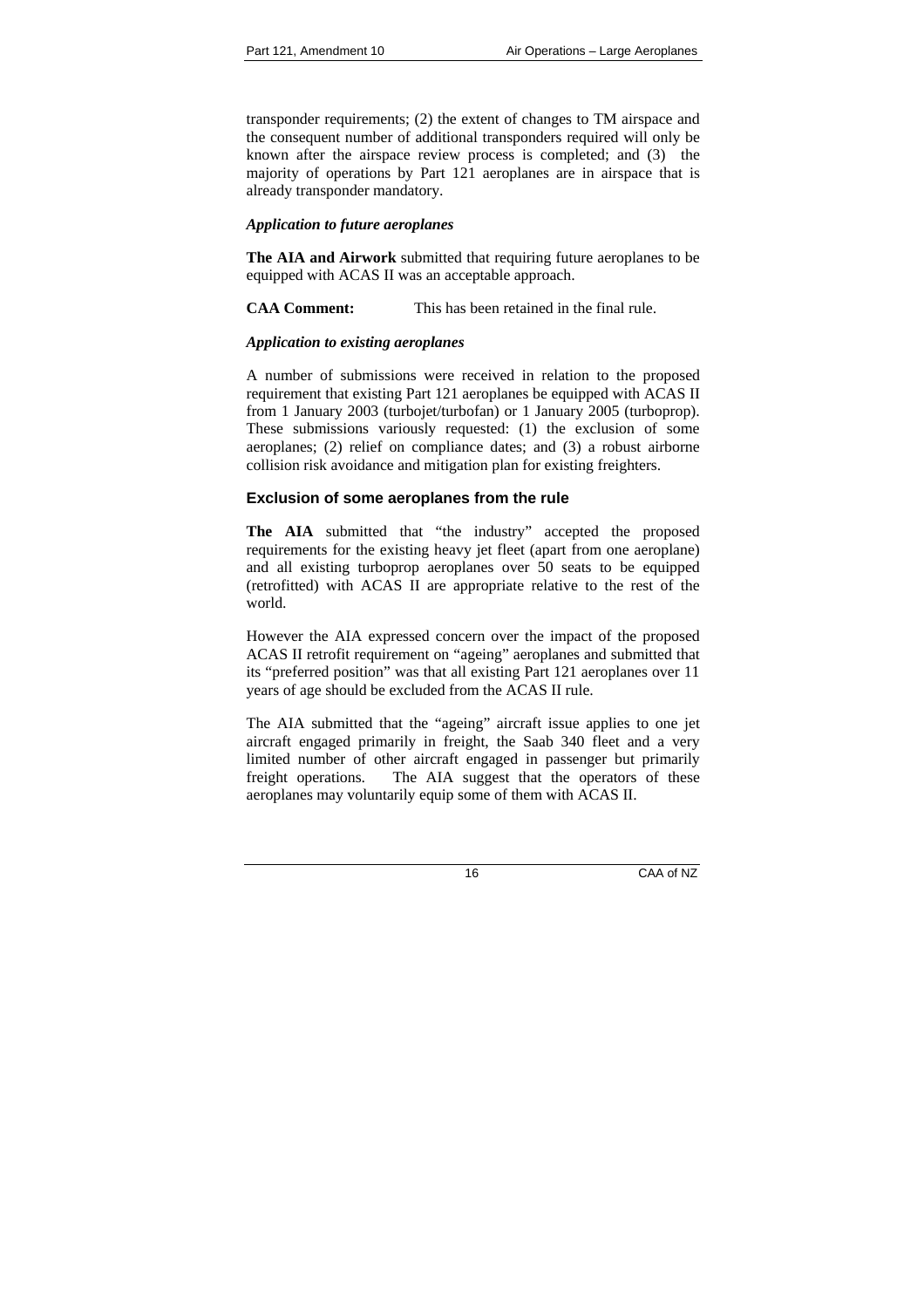transponder requirements; (2) the extent of changes to TM airspace and the consequent number of additional transponders required will only be known after the airspace review process is completed; and (3) the majority of operations by Part 121 aeroplanes are in airspace that is already transponder mandatory.

#### *Application to future aeroplanes*

**The AIA and Airwork** submitted that requiring future aeroplanes to be equipped with ACAS II was an acceptable approach.

**CAA Comment:** This has been retained in the final rule.

#### *Application to existing aeroplanes*

A number of submissions were received in relation to the proposed requirement that existing Part 121 aeroplanes be equipped with ACAS II from 1 January 2003 (turbojet/turbofan) or 1 January 2005 (turboprop). These submissions variously requested: (1) the exclusion of some aeroplanes; (2) relief on compliance dates; and (3) a robust airborne collision risk avoidance and mitigation plan for existing freighters.

#### **Exclusion of some aeroplanes from the rule**

**The AIA** submitted that "the industry" accepted the proposed requirements for the existing heavy jet fleet (apart from one aeroplane) and all existing turboprop aeroplanes over 50 seats to be equipped (retrofitted) with ACAS II are appropriate relative to the rest of the world.

However the AIA expressed concern over the impact of the proposed ACAS II retrofit requirement on "ageing" aeroplanes and submitted that its "preferred position" was that all existing Part 121 aeroplanes over 11 years of age should be excluded from the ACAS II rule.

The AIA submitted that the "ageing" aircraft issue applies to one jet aircraft engaged primarily in freight, the Saab 340 fleet and a very limited number of other aircraft engaged in passenger but primarily freight operations. The AIA suggest that the operators of these aeroplanes may voluntarily equip some of them with ACAS II.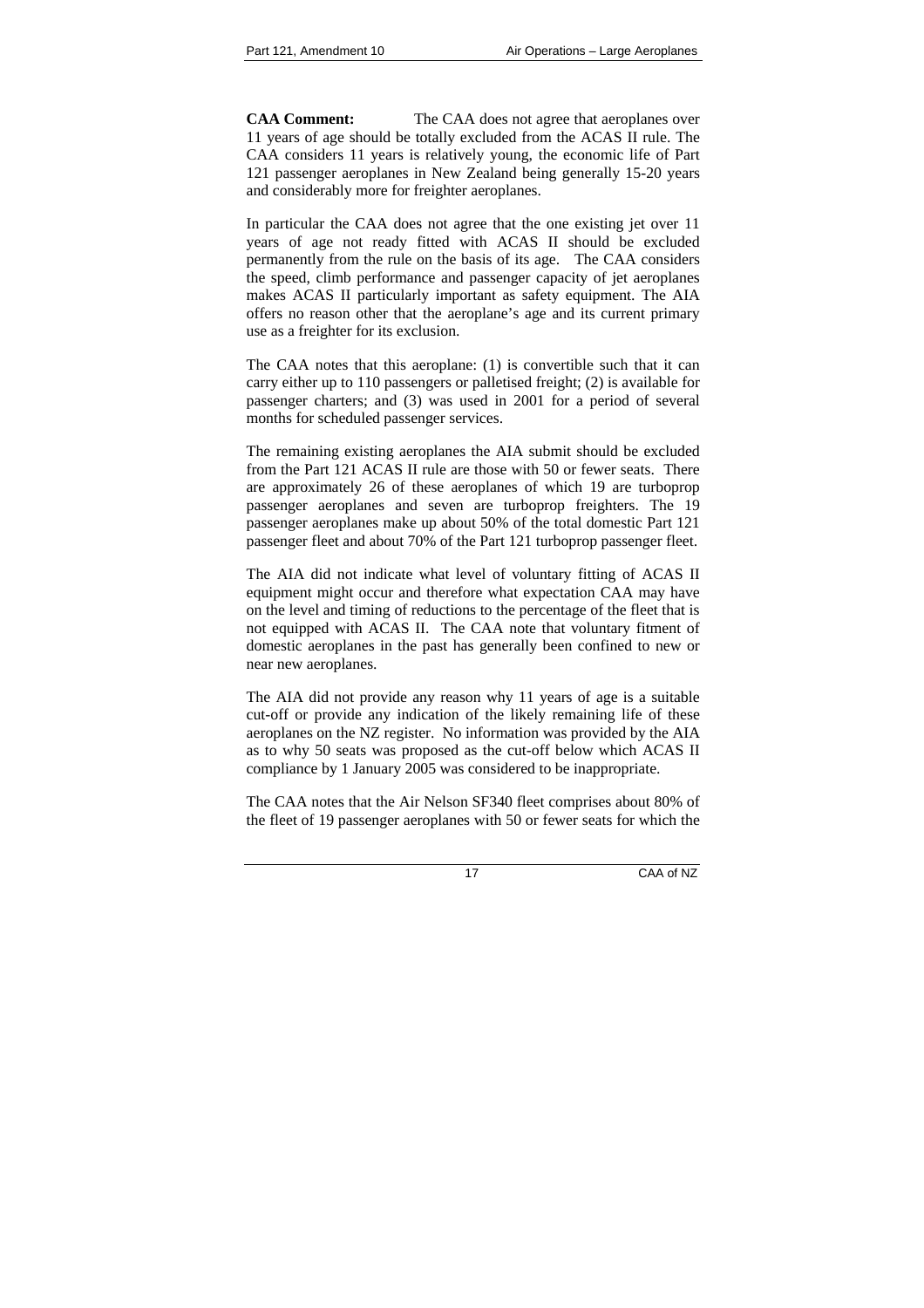**CAA Comment:** The CAA does not agree that aeroplanes over 11 years of age should be totally excluded from the ACAS II rule. The CAA considers 11 years is relatively young, the economic life of Part 121 passenger aeroplanes in New Zealand being generally 15-20 years and considerably more for freighter aeroplanes.

In particular the CAA does not agree that the one existing jet over 11 years of age not ready fitted with ACAS II should be excluded permanently from the rule on the basis of its age. The CAA considers the speed, climb performance and passenger capacity of jet aeroplanes makes ACAS II particularly important as safety equipment. The AIA offers no reason other that the aeroplane's age and its current primary use as a freighter for its exclusion.

The CAA notes that this aeroplane: (1) is convertible such that it can carry either up to 110 passengers or palletised freight; (2) is available for passenger charters; and (3) was used in 2001 for a period of several months for scheduled passenger services.

The remaining existing aeroplanes the AIA submit should be excluded from the Part 121 ACAS II rule are those with 50 or fewer seats. There are approximately 26 of these aeroplanes of which 19 are turboprop passenger aeroplanes and seven are turboprop freighters. The 19 passenger aeroplanes make up about 50% of the total domestic Part 121 passenger fleet and about 70% of the Part 121 turboprop passenger fleet.

The AIA did not indicate what level of voluntary fitting of ACAS II equipment might occur and therefore what expectation CAA may have on the level and timing of reductions to the percentage of the fleet that is not equipped with ACAS II. The CAA note that voluntary fitment of domestic aeroplanes in the past has generally been confined to new or near new aeroplanes.

The AIA did not provide any reason why 11 years of age is a suitable cut-off or provide any indication of the likely remaining life of these aeroplanes on the NZ register. No information was provided by the AIA as to why 50 seats was proposed as the cut-off below which ACAS II compliance by 1 January 2005 was considered to be inappropriate.

The CAA notes that the Air Nelson SF340 fleet comprises about 80% of the fleet of 19 passenger aeroplanes with 50 or fewer seats for which the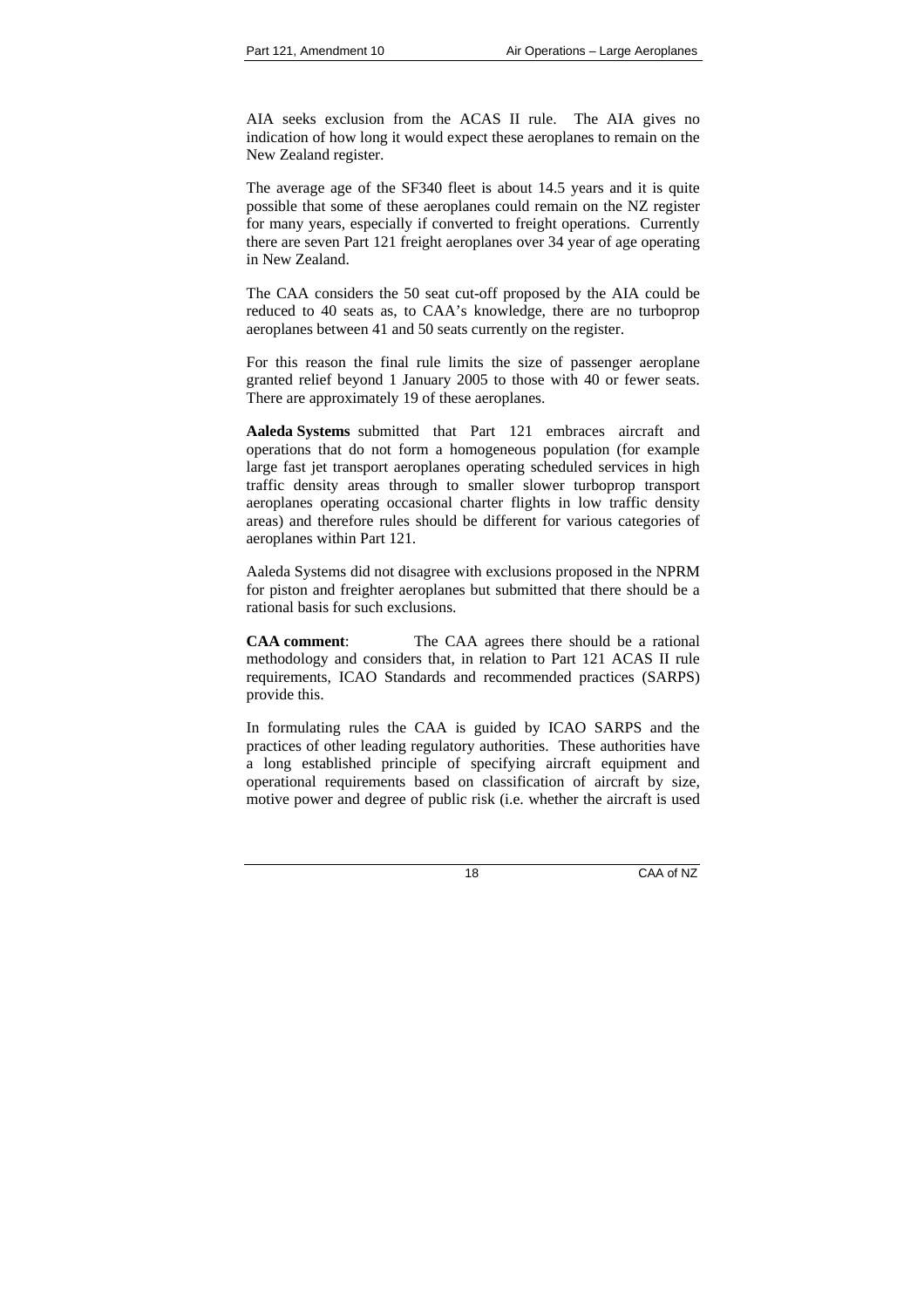AIA seeks exclusion from the ACAS II rule. The AIA gives no indication of how long it would expect these aeroplanes to remain on the New Zealand register.

The average age of the SF340 fleet is about 14.5 years and it is quite possible that some of these aeroplanes could remain on the NZ register for many years, especially if converted to freight operations. Currently there are seven Part 121 freight aeroplanes over 34 year of age operating in New Zealand.

The CAA considers the 50 seat cut-off proposed by the AIA could be reduced to 40 seats as, to CAA's knowledge, there are no turboprop aeroplanes between 41 and 50 seats currently on the register.

For this reason the final rule limits the size of passenger aeroplane granted relief beyond 1 January 2005 to those with 40 or fewer seats. There are approximately 19 of these aeroplanes.

**Aaleda Systems** submitted that Part 121 embraces aircraft and operations that do not form a homogeneous population (for example large fast jet transport aeroplanes operating scheduled services in high traffic density areas through to smaller slower turboprop transport aeroplanes operating occasional charter flights in low traffic density areas) and therefore rules should be different for various categories of aeroplanes within Part 121.

Aaleda Systems did not disagree with exclusions proposed in the NPRM for piston and freighter aeroplanes but submitted that there should be a rational basis for such exclusions.

**CAA comment**: The CAA agrees there should be a rational methodology and considers that, in relation to Part 121 ACAS II rule requirements, ICAO Standards and recommended practices (SARPS) provide this.

In formulating rules the CAA is guided by ICAO SARPS and the practices of other leading regulatory authorities. These authorities have a long established principle of specifying aircraft equipment and operational requirements based on classification of aircraft by size, motive power and degree of public risk (i.e. whether the aircraft is used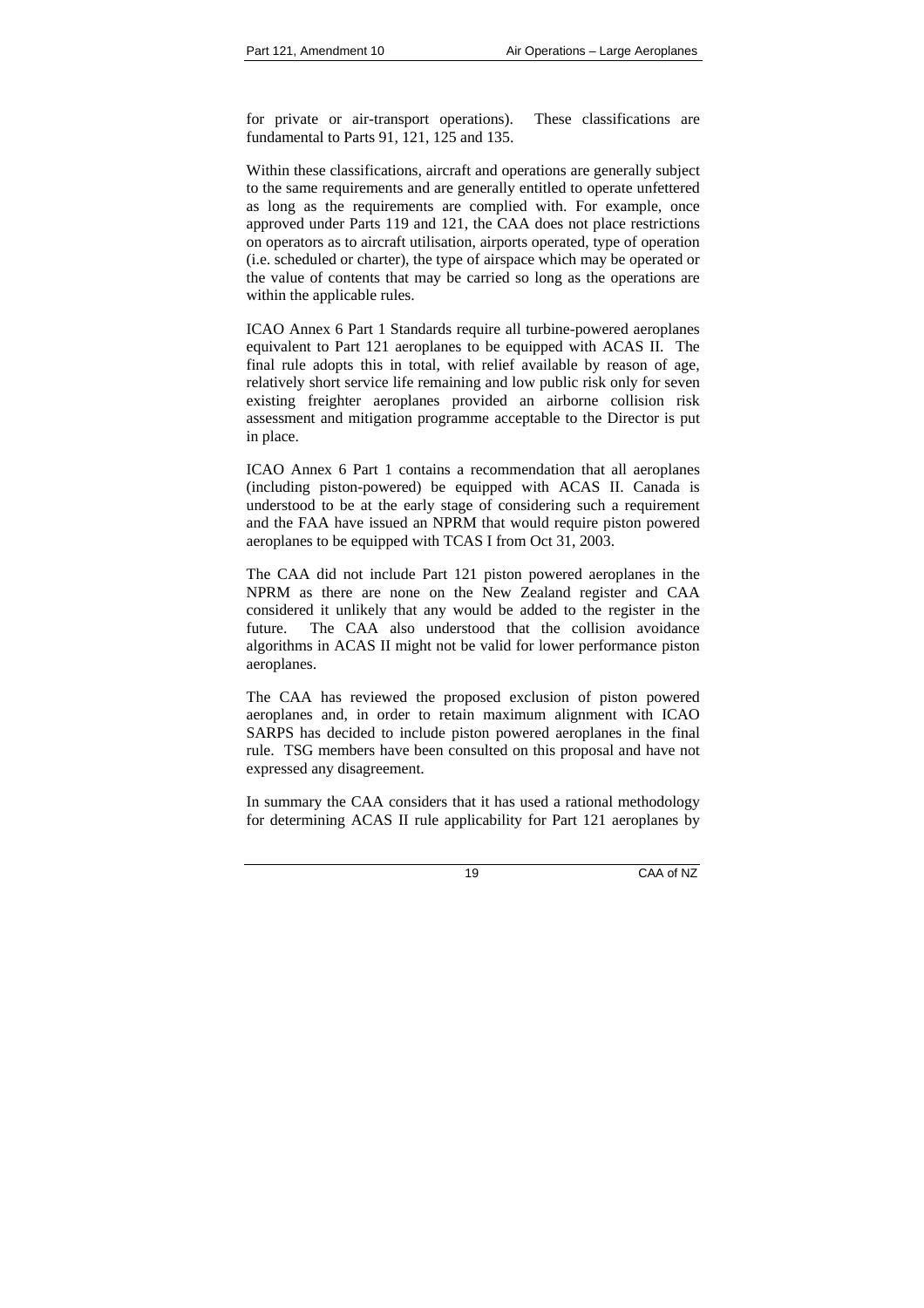for private or air-transport operations). These classifications are fundamental to Parts 91, 121, 125 and 135.

Within these classifications, aircraft and operations are generally subject to the same requirements and are generally entitled to operate unfettered as long as the requirements are complied with. For example, once approved under Parts 119 and 121, the CAA does not place restrictions on operators as to aircraft utilisation, airports operated, type of operation (i.e. scheduled or charter), the type of airspace which may be operated or the value of contents that may be carried so long as the operations are within the applicable rules.

ICAO Annex 6 Part 1 Standards require all turbine-powered aeroplanes equivalent to Part 121 aeroplanes to be equipped with ACAS II. The final rule adopts this in total, with relief available by reason of age, relatively short service life remaining and low public risk only for seven existing freighter aeroplanes provided an airborne collision risk assessment and mitigation programme acceptable to the Director is put in place.

ICAO Annex 6 Part 1 contains a recommendation that all aeroplanes (including piston-powered) be equipped with ACAS II. Canada is understood to be at the early stage of considering such a requirement and the FAA have issued an NPRM that would require piston powered aeroplanes to be equipped with TCAS I from Oct 31, 2003.

The CAA did not include Part 121 piston powered aeroplanes in the NPRM as there are none on the New Zealand register and CAA considered it unlikely that any would be added to the register in the future. The CAA also understood that the collision avoidance algorithms in ACAS II might not be valid for lower performance piston aeroplanes.

The CAA has reviewed the proposed exclusion of piston powered aeroplanes and, in order to retain maximum alignment with ICAO SARPS has decided to include piston powered aeroplanes in the final rule. TSG members have been consulted on this proposal and have not expressed any disagreement.

In summary the CAA considers that it has used a rational methodology for determining ACAS II rule applicability for Part 121 aeroplanes by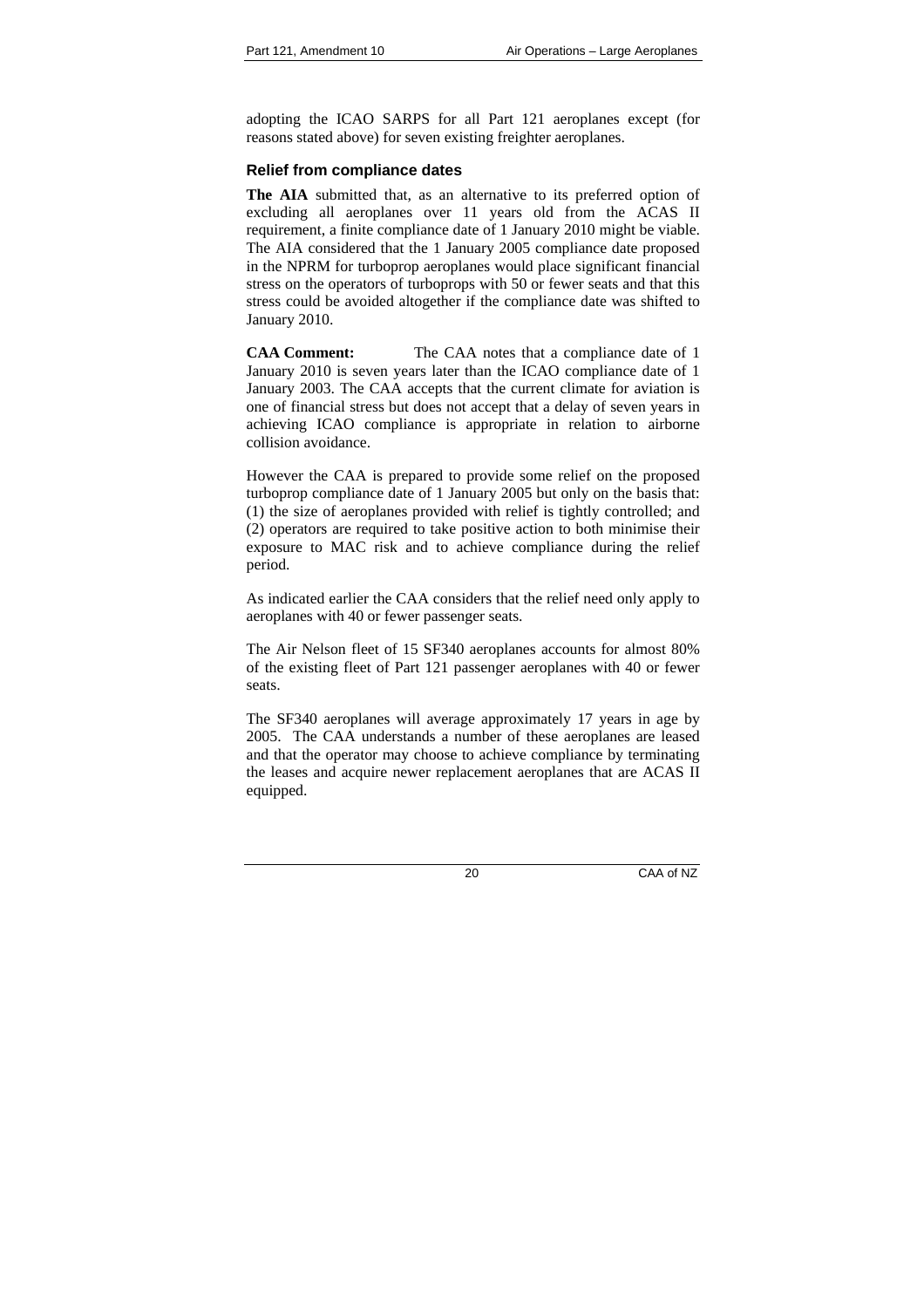adopting the ICAO SARPS for all Part 121 aeroplanes except (for reasons stated above) for seven existing freighter aeroplanes.

## **Relief from compliance dates**

**The AIA** submitted that, as an alternative to its preferred option of excluding all aeroplanes over 11 years old from the ACAS II requirement, a finite compliance date of 1 January 2010 might be viable. The AIA considered that the 1 January 2005 compliance date proposed in the NPRM for turboprop aeroplanes would place significant financial stress on the operators of turboprops with 50 or fewer seats and that this stress could be avoided altogether if the compliance date was shifted to January 2010.

**CAA Comment:** The CAA notes that a compliance date of 1 January 2010 is seven years later than the ICAO compliance date of 1 January 2003. The CAA accepts that the current climate for aviation is one of financial stress but does not accept that a delay of seven years in achieving ICAO compliance is appropriate in relation to airborne collision avoidance.

However the CAA is prepared to provide some relief on the proposed turboprop compliance date of 1 January 2005 but only on the basis that: (1) the size of aeroplanes provided with relief is tightly controlled; and (2) operators are required to take positive action to both minimise their exposure to MAC risk and to achieve compliance during the relief period.

As indicated earlier the CAA considers that the relief need only apply to aeroplanes with 40 or fewer passenger seats.

The Air Nelson fleet of 15 SF340 aeroplanes accounts for almost 80% of the existing fleet of Part 121 passenger aeroplanes with 40 or fewer seats.

The SF340 aeroplanes will average approximately 17 years in age by 2005. The CAA understands a number of these aeroplanes are leased and that the operator may choose to achieve compliance by terminating the leases and acquire newer replacement aeroplanes that are ACAS II equipped.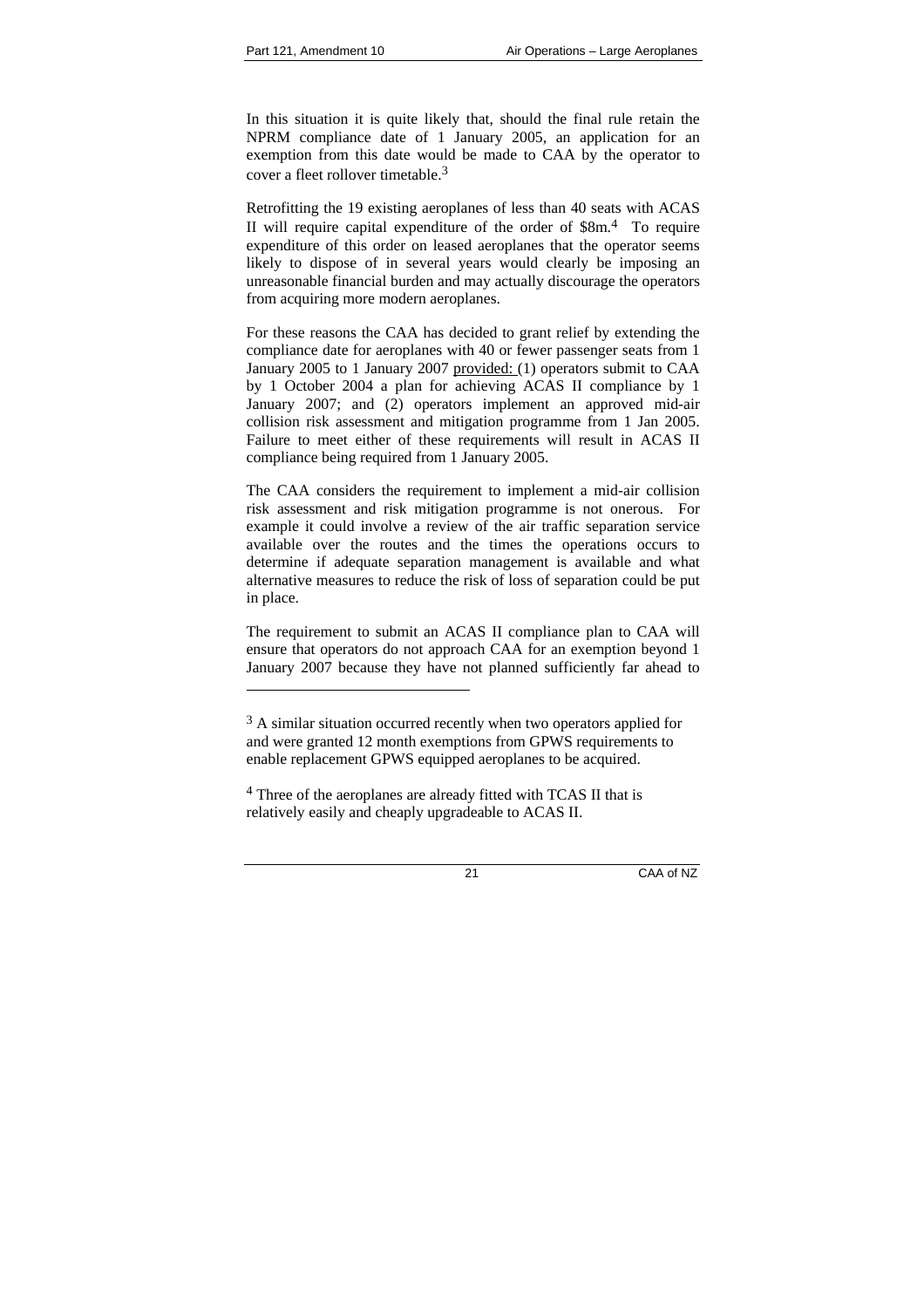l

In this situation it is quite likely that, should the final rule retain the NPRM compliance date of 1 January 2005, an application for an exemption from this date would be made to CAA by the operator to cover a fleet rollover timetable  $3$ 

Retrofitting the 19 existing aeroplanes of less than 40 seats with ACAS II will require capital expenditure of the order of \$8m.4 To require expenditure of this order on leased aeroplanes that the operator seems likely to dispose of in several years would clearly be imposing an unreasonable financial burden and may actually discourage the operators from acquiring more modern aeroplanes.

For these reasons the CAA has decided to grant relief by extending the compliance date for aeroplanes with 40 or fewer passenger seats from 1 January 2005 to 1 January 2007 provided: (1) operators submit to CAA by 1 October 2004 a plan for achieving ACAS II compliance by 1 January 2007; and (2) operators implement an approved mid-air collision risk assessment and mitigation programme from 1 Jan 2005. Failure to meet either of these requirements will result in ACAS II compliance being required from 1 January 2005.

The CAA considers the requirement to implement a mid-air collision risk assessment and risk mitigation programme is not onerous. For example it could involve a review of the air traffic separation service available over the routes and the times the operations occurs to determine if adequate separation management is available and what alternative measures to reduce the risk of loss of separation could be put in place.

The requirement to submit an ACAS II compliance plan to CAA will ensure that operators do not approach CAA for an exemption beyond 1 January 2007 because they have not planned sufficiently far ahead to

 $3 A$  similar situation occurred recently when two operators applied for and were granted 12 month exemptions from GPWS requirements to enable replacement GPWS equipped aeroplanes to be acquired.

<sup>&</sup>lt;sup>4</sup> Three of the aeroplanes are already fitted with TCAS II that is relatively easily and cheaply upgradeable to ACAS II.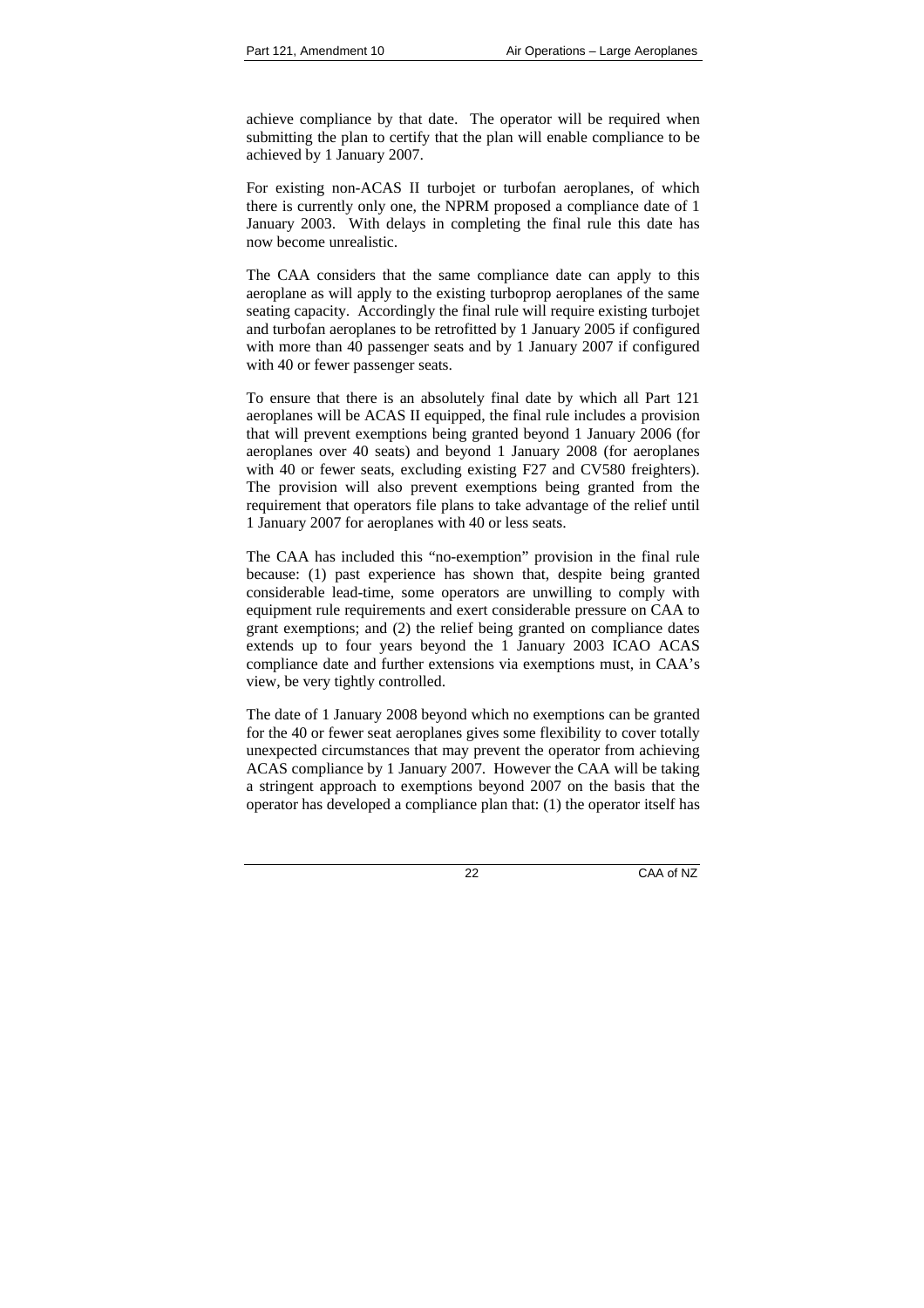achieve compliance by that date. The operator will be required when submitting the plan to certify that the plan will enable compliance to be achieved by 1 January 2007.

For existing non-ACAS II turbojet or turbofan aeroplanes, of which there is currently only one, the NPRM proposed a compliance date of 1 January 2003. With delays in completing the final rule this date has now become unrealistic.

The CAA considers that the same compliance date can apply to this aeroplane as will apply to the existing turboprop aeroplanes of the same seating capacity. Accordingly the final rule will require existing turbojet and turbofan aeroplanes to be retrofitted by 1 January 2005 if configured with more than 40 passenger seats and by 1 January 2007 if configured with 40 or fewer passenger seats.

To ensure that there is an absolutely final date by which all Part 121 aeroplanes will be ACAS II equipped, the final rule includes a provision that will prevent exemptions being granted beyond 1 January 2006 (for aeroplanes over 40 seats) and beyond 1 January 2008 (for aeroplanes with 40 or fewer seats, excluding existing F27 and CV580 freighters). The provision will also prevent exemptions being granted from the requirement that operators file plans to take advantage of the relief until 1 January 2007 for aeroplanes with 40 or less seats.

The CAA has included this "no-exemption" provision in the final rule because: (1) past experience has shown that, despite being granted considerable lead-time, some operators are unwilling to comply with equipment rule requirements and exert considerable pressure on CAA to grant exemptions; and (2) the relief being granted on compliance dates extends up to four years beyond the 1 January 2003 ICAO ACAS compliance date and further extensions via exemptions must, in CAA's view, be very tightly controlled.

The date of 1 January 2008 beyond which no exemptions can be granted for the 40 or fewer seat aeroplanes gives some flexibility to cover totally unexpected circumstances that may prevent the operator from achieving ACAS compliance by 1 January 2007. However the CAA will be taking a stringent approach to exemptions beyond 2007 on the basis that the operator has developed a compliance plan that: (1) the operator itself has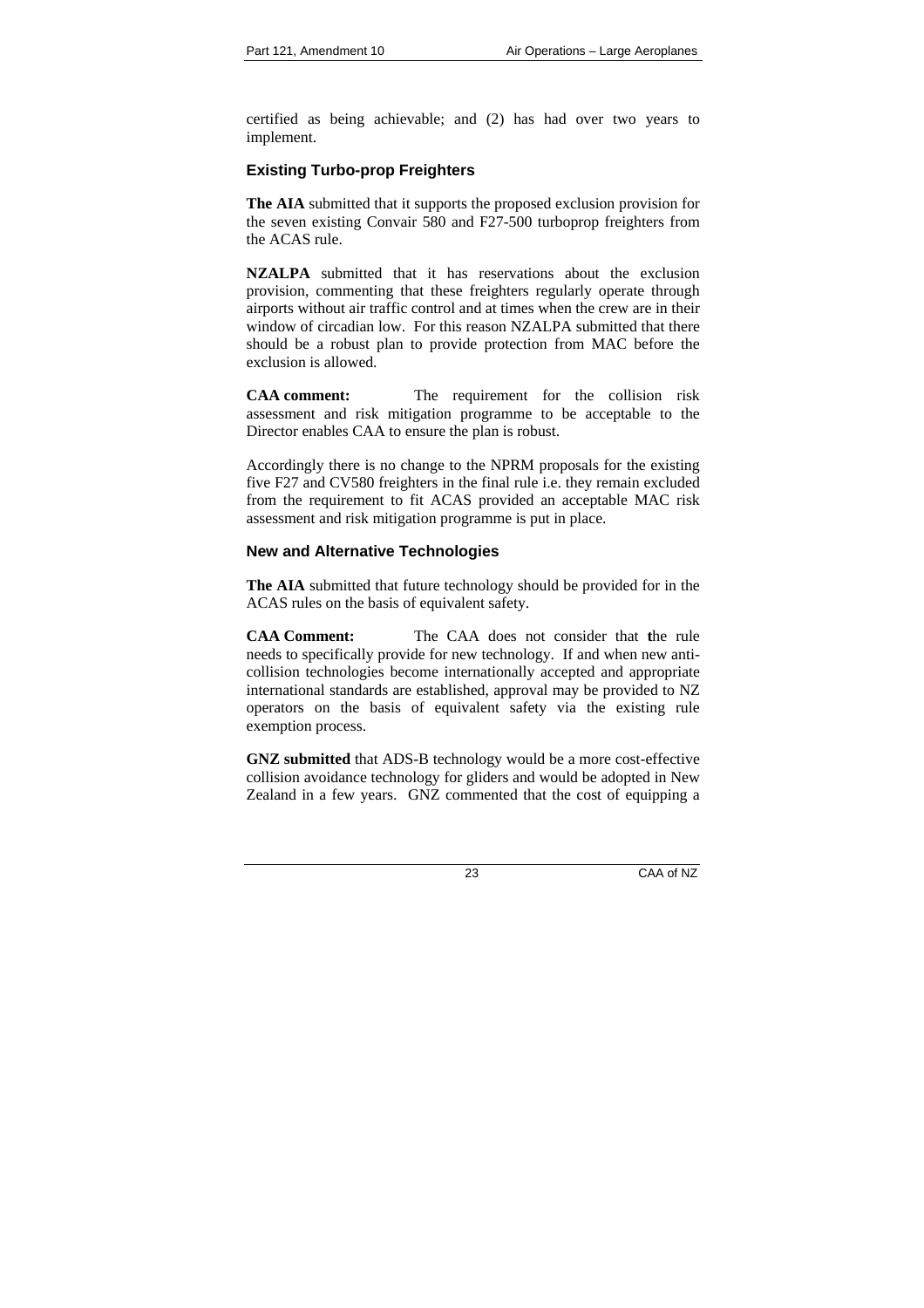certified as being achievable; and (2) has had over two years to implement.

## **Existing Turbo-prop Freighters**

**The AIA** submitted that it supports the proposed exclusion provision for the seven existing Convair 580 and F27-500 turboprop freighters from the ACAS rule.

**NZALPA** submitted that it has reservations about the exclusion provision, commenting that these freighters regularly operate through airports without air traffic control and at times when the crew are in their window of circadian low. For this reason NZALPA submitted that there should be a robust plan to provide protection from MAC before the exclusion is allowed.

**CAA comment:** The requirement for the collision risk assessment and risk mitigation programme to be acceptable to the Director enables CAA to ensure the plan is robust.

Accordingly there is no change to the NPRM proposals for the existing five F27 and CV580 freighters in the final rule i.e. they remain excluded from the requirement to fit ACAS provided an acceptable MAC risk assessment and risk mitigation programme is put in place.

## **New and Alternative Technologies**

**The AIA** submitted that future technology should be provided for in the ACAS rules on the basis of equivalent safety.

**CAA Comment:** The CAA does not consider that **t**he rule needs to specifically provide for new technology. If and when new anticollision technologies become internationally accepted and appropriate international standards are established, approval may be provided to NZ operators on the basis of equivalent safety via the existing rule exemption process.

**GNZ submitted** that ADS-B technology would be a more cost-effective collision avoidance technology for gliders and would be adopted in New Zealand in a few years. GNZ commented that the cost of equipping a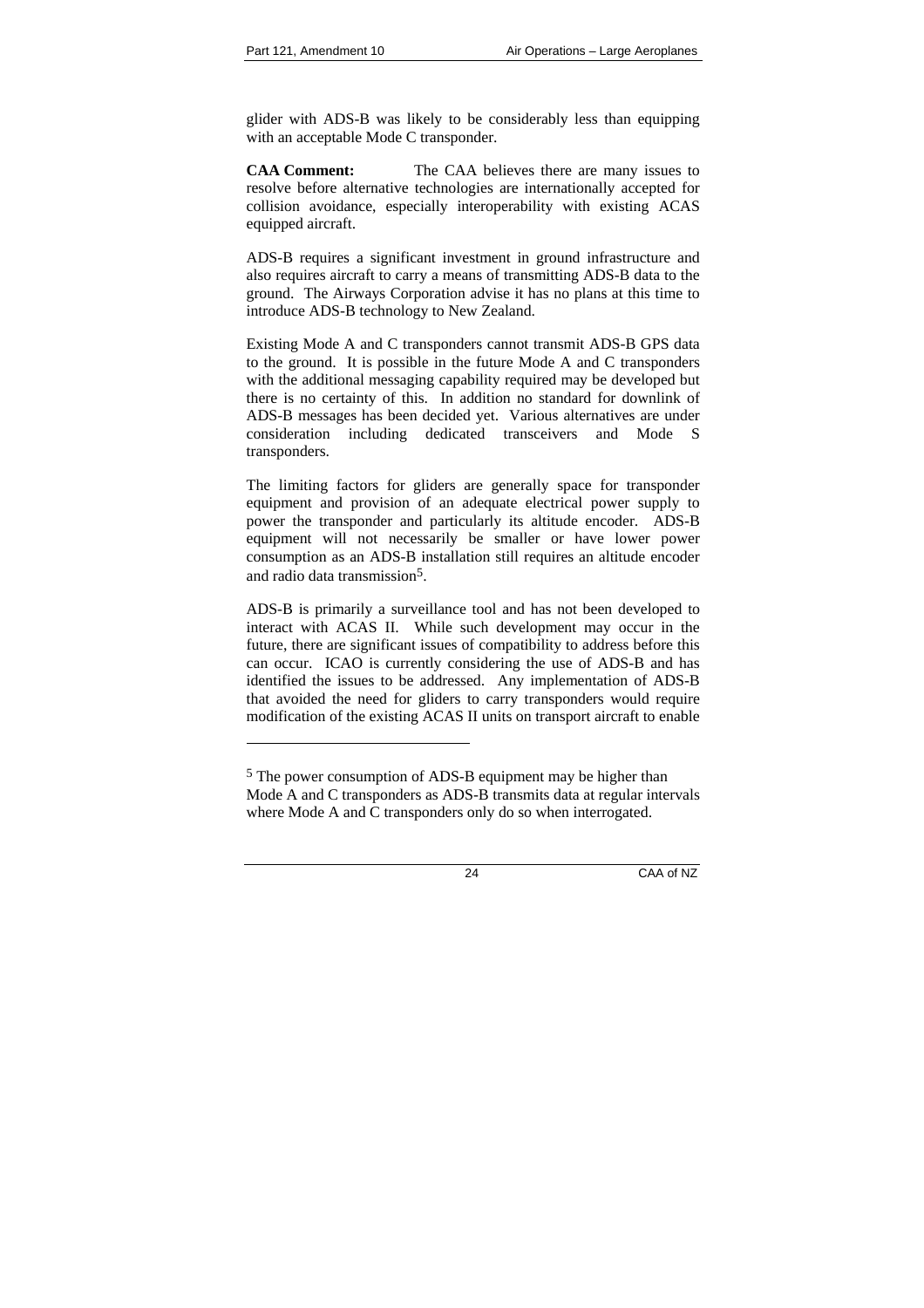l

glider with ADS-B was likely to be considerably less than equipping with an acceptable Mode C transponder.

**CAA Comment:** The CAA believes there are many issues to resolve before alternative technologies are internationally accepted for collision avoidance, especially interoperability with existing ACAS equipped aircraft.

ADS-B requires a significant investment in ground infrastructure and also requires aircraft to carry a means of transmitting ADS-B data to the ground. The Airways Corporation advise it has no plans at this time to introduce ADS-B technology to New Zealand.

Existing Mode A and C transponders cannot transmit ADS-B GPS data to the ground. It is possible in the future Mode A and C transponders with the additional messaging capability required may be developed but there is no certainty of this. In addition no standard for downlink of ADS-B messages has been decided yet. Various alternatives are under consideration including dedicated transceivers and Mode S transponders.

The limiting factors for gliders are generally space for transponder equipment and provision of an adequate electrical power supply to power the transponder and particularly its altitude encoder. ADS-B equipment will not necessarily be smaller or have lower power consumption as an ADS-B installation still requires an altitude encoder and radio data transmission5.

ADS-B is primarily a surveillance tool and has not been developed to interact with ACAS II. While such development may occur in the future, there are significant issues of compatibility to address before this can occur. ICAO is currently considering the use of ADS-B and has identified the issues to be addressed. Any implementation of ADS-B that avoided the need for gliders to carry transponders would require modification of the existing ACAS II units on transport aircraft to enable

<sup>&</sup>lt;sup>5</sup> The power consumption of ADS-B equipment may be higher than Mode A and C transponders as ADS-B transmits data at regular intervals where Mode A and C transponders only do so when interrogated.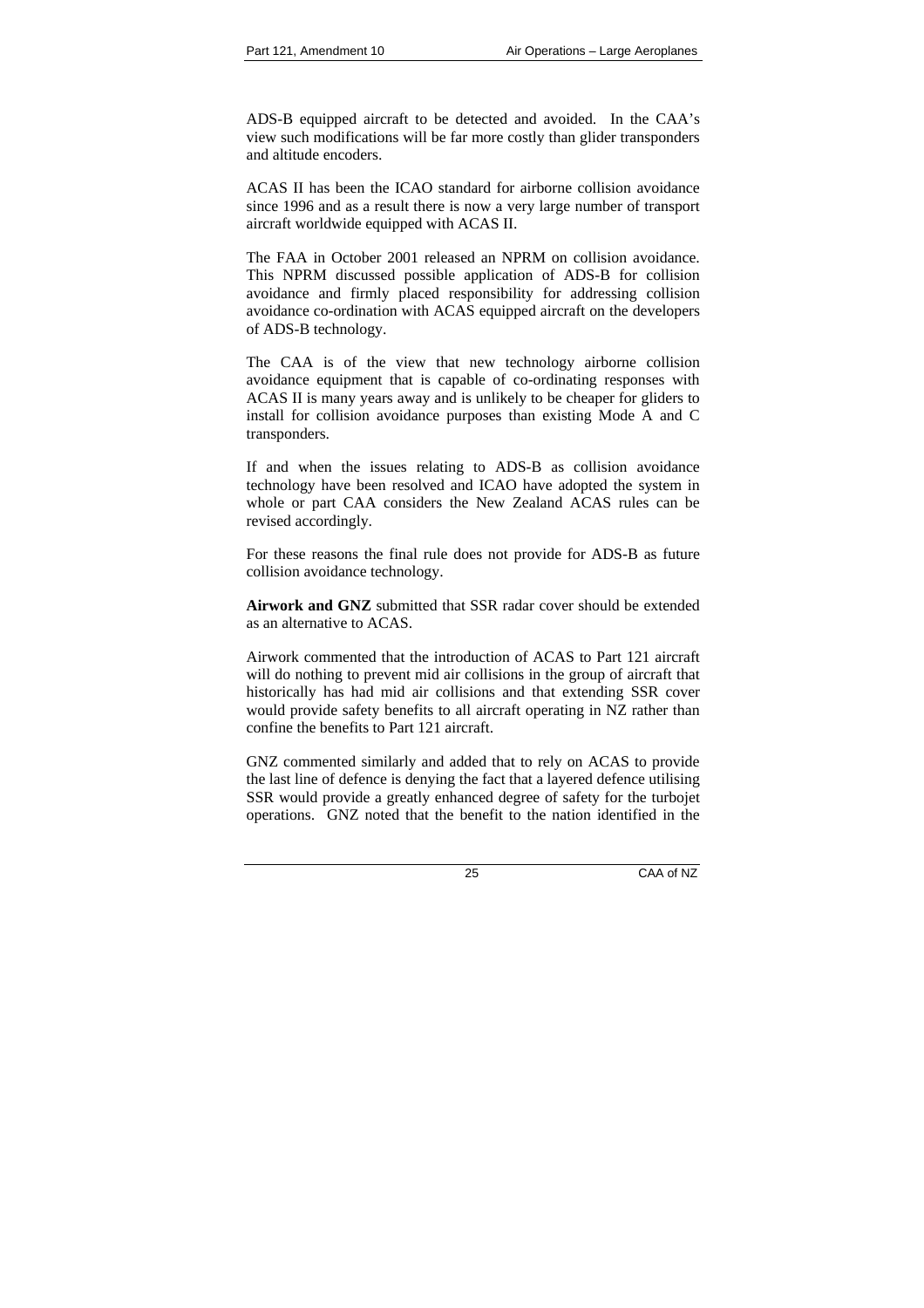ADS-B equipped aircraft to be detected and avoided. In the CAA's view such modifications will be far more costly than glider transponders and altitude encoders.

ACAS II has been the ICAO standard for airborne collision avoidance since 1996 and as a result there is now a very large number of transport aircraft worldwide equipped with ACAS II.

The FAA in October 2001 released an NPRM on collision avoidance. This NPRM discussed possible application of ADS-B for collision avoidance and firmly placed responsibility for addressing collision avoidance co-ordination with ACAS equipped aircraft on the developers of ADS-B technology.

The CAA is of the view that new technology airborne collision avoidance equipment that is capable of co-ordinating responses with ACAS II is many years away and is unlikely to be cheaper for gliders to install for collision avoidance purposes than existing Mode A and C transponders.

If and when the issues relating to ADS-B as collision avoidance technology have been resolved and ICAO have adopted the system in whole or part CAA considers the New Zealand ACAS rules can be revised accordingly.

For these reasons the final rule does not provide for ADS-B as future collision avoidance technology.

**Airwork and GNZ** submitted that SSR radar cover should be extended as an alternative to ACAS.

Airwork commented that the introduction of ACAS to Part 121 aircraft will do nothing to prevent mid air collisions in the group of aircraft that historically has had mid air collisions and that extending SSR cover would provide safety benefits to all aircraft operating in NZ rather than confine the benefits to Part 121 aircraft.

GNZ commented similarly and added that to rely on ACAS to provide the last line of defence is denying the fact that a layered defence utilising SSR would provide a greatly enhanced degree of safety for the turbojet operations. GNZ noted that the benefit to the nation identified in the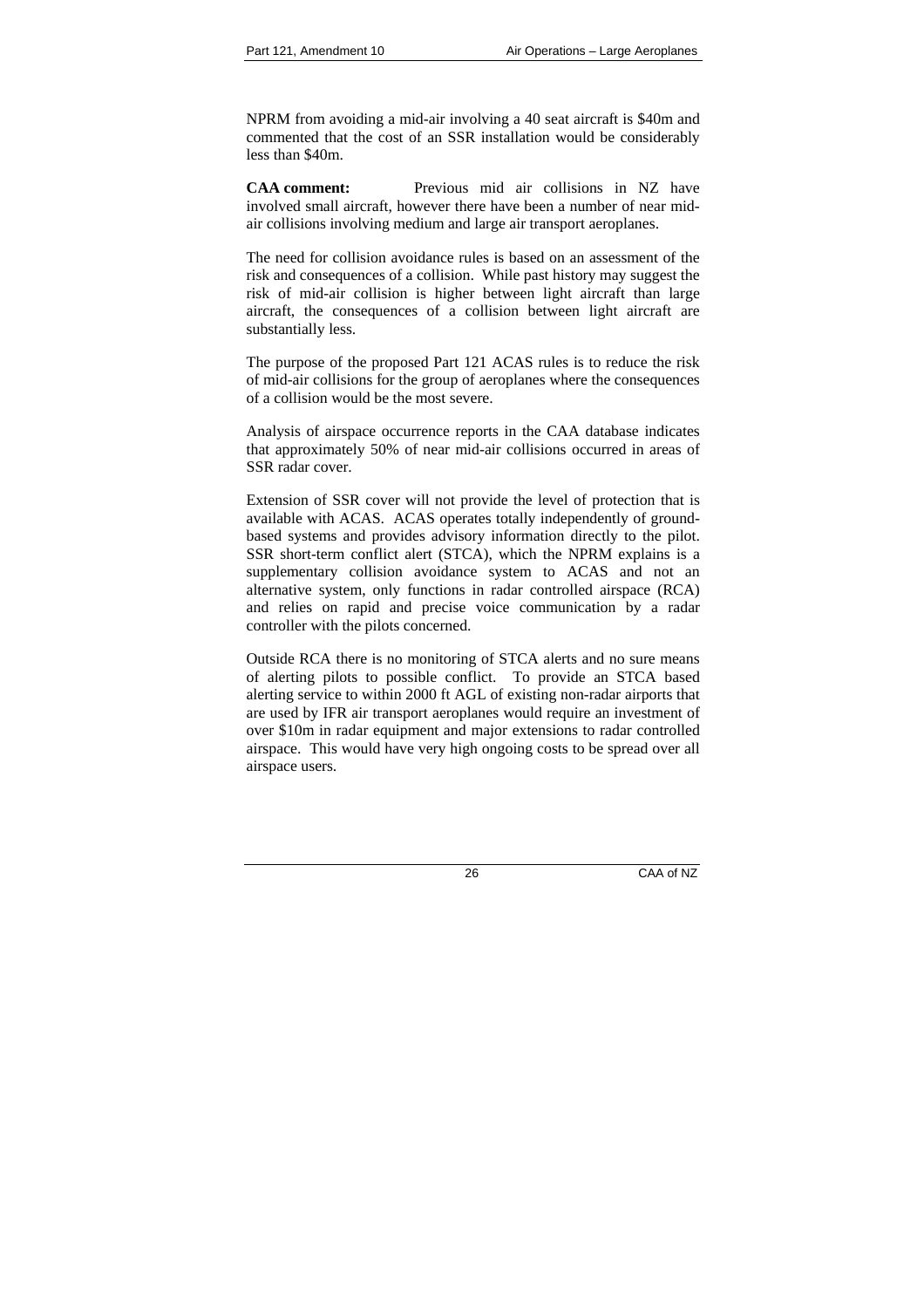NPRM from avoiding a mid-air involving a 40 seat aircraft is \$40m and commented that the cost of an SSR installation would be considerably less than \$40m.

**CAA comment:** Previous mid air collisions in NZ have involved small aircraft, however there have been a number of near midair collisions involving medium and large air transport aeroplanes.

The need for collision avoidance rules is based on an assessment of the risk and consequences of a collision. While past history may suggest the risk of mid-air collision is higher between light aircraft than large aircraft, the consequences of a collision between light aircraft are substantially less.

The purpose of the proposed Part 121 ACAS rules is to reduce the risk of mid-air collisions for the group of aeroplanes where the consequences of a collision would be the most severe.

Analysis of airspace occurrence reports in the CAA database indicates that approximately 50% of near mid-air collisions occurred in areas of SSR radar cover.

Extension of SSR cover will not provide the level of protection that is available with ACAS. ACAS operates totally independently of groundbased systems and provides advisory information directly to the pilot. SSR short-term conflict alert (STCA), which the NPRM explains is a supplementary collision avoidance system to ACAS and not an alternative system, only functions in radar controlled airspace (RCA) and relies on rapid and precise voice communication by a radar controller with the pilots concerned.

Outside RCA there is no monitoring of STCA alerts and no sure means of alerting pilots to possible conflict. To provide an STCA based alerting service to within 2000 ft AGL of existing non-radar airports that are used by IFR air transport aeroplanes would require an investment of over \$10m in radar equipment and major extensions to radar controlled airspace. This would have very high ongoing costs to be spread over all airspace users.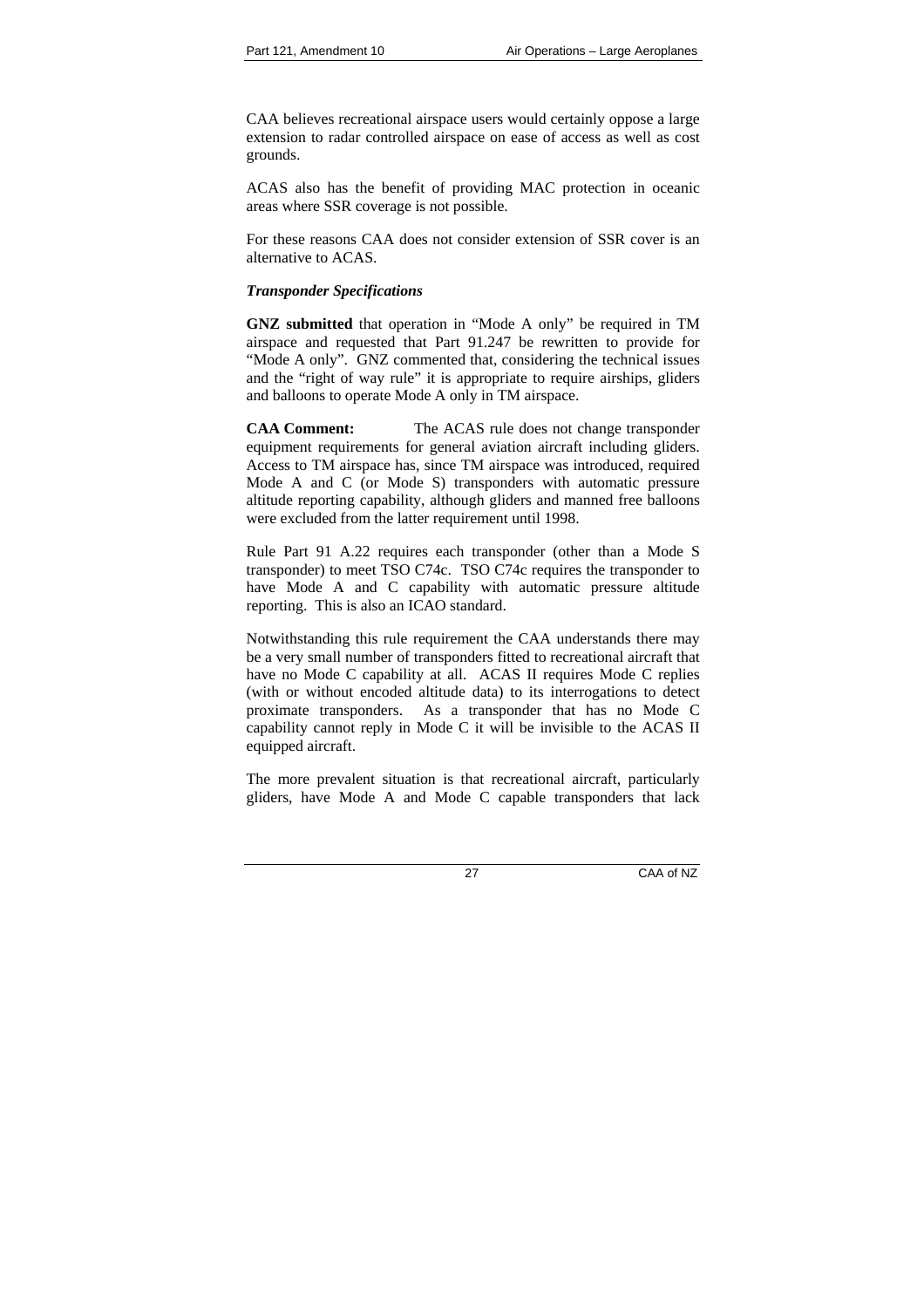CAA believes recreational airspace users would certainly oppose a large extension to radar controlled airspace on ease of access as well as cost grounds.

ACAS also has the benefit of providing MAC protection in oceanic areas where SSR coverage is not possible.

For these reasons CAA does not consider extension of SSR cover is an alternative to ACAS.

## *Transponder Specifications*

**GNZ submitted** that operation in "Mode A only" be required in TM airspace and requested that Part 91.247 be rewritten to provide for "Mode A only". GNZ commented that, considering the technical issues and the "right of way rule" it is appropriate to require airships, gliders and balloons to operate Mode A only in TM airspace.

**CAA Comment:** The ACAS rule does not change transponder equipment requirements for general aviation aircraft including gliders. Access to TM airspace has, since TM airspace was introduced, required Mode A and C (or Mode S) transponders with automatic pressure altitude reporting capability, although gliders and manned free balloons were excluded from the latter requirement until 1998.

Rule Part 91 A.22 requires each transponder (other than a Mode S transponder) to meet TSO C74c. TSO C74c requires the transponder to have Mode A and C capability with automatic pressure altitude reporting. This is also an ICAO standard.

Notwithstanding this rule requirement the CAA understands there may be a very small number of transponders fitted to recreational aircraft that have no Mode C capability at all. ACAS II requires Mode C replies (with or without encoded altitude data) to its interrogations to detect proximate transponders. As a transponder that has no Mode C capability cannot reply in Mode C it will be invisible to the ACAS II equipped aircraft.

The more prevalent situation is that recreational aircraft, particularly gliders, have Mode A and Mode C capable transponders that lack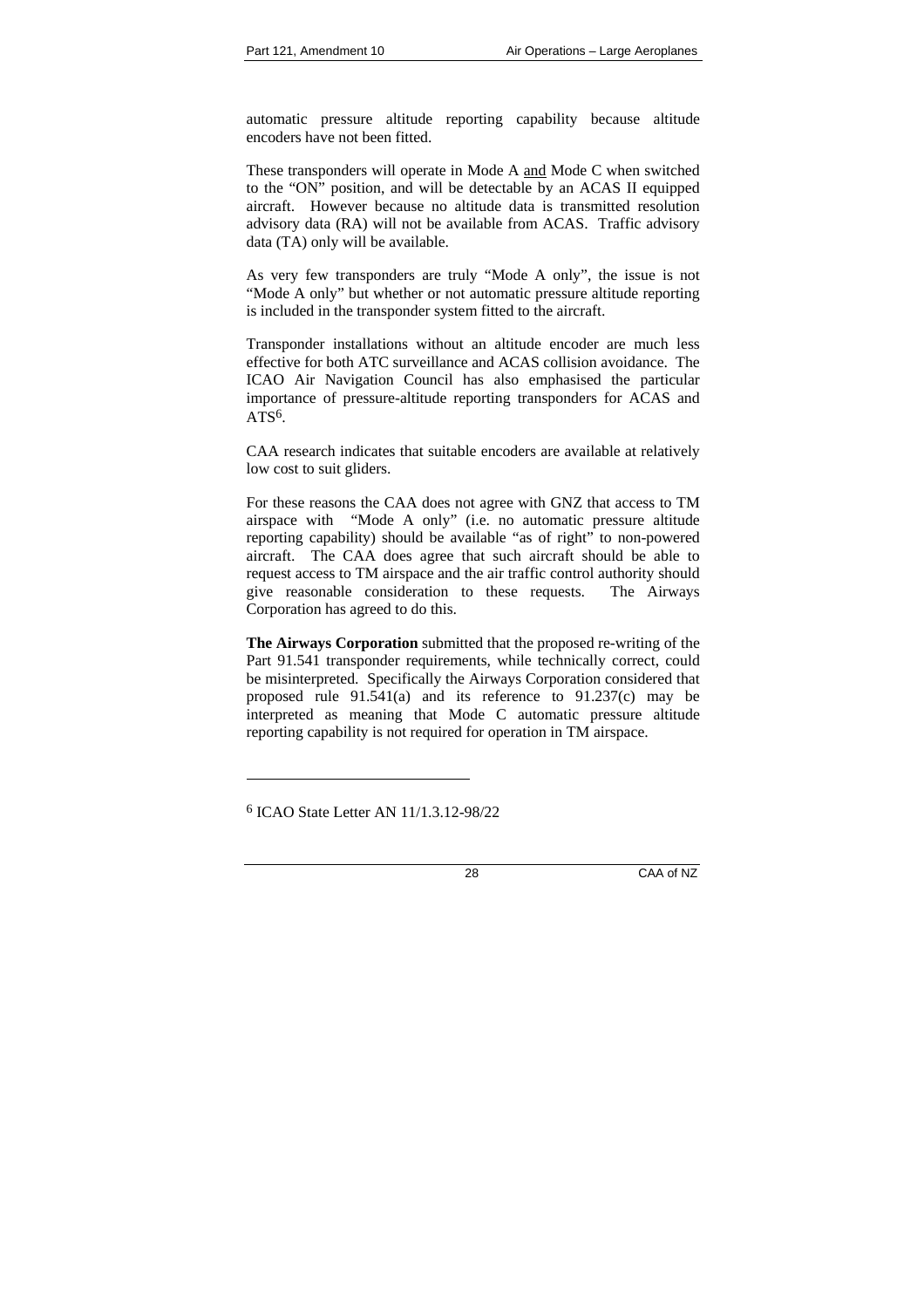automatic pressure altitude reporting capability because altitude encoders have not been fitted.

These transponders will operate in Mode A and Mode C when switched to the "ON" position, and will be detectable by an ACAS II equipped aircraft. However because no altitude data is transmitted resolution advisory data (RA) will not be available from ACAS. Traffic advisory data (TA) only will be available.

As very few transponders are truly "Mode A only", the issue is not "Mode A only" but whether or not automatic pressure altitude reporting is included in the transponder system fitted to the aircraft.

Transponder installations without an altitude encoder are much less effective for both ATC surveillance and ACAS collision avoidance. The ICAO Air Navigation Council has also emphasised the particular importance of pressure-altitude reporting transponders for ACAS and  $ATS<sup>6</sup>$ 

CAA research indicates that suitable encoders are available at relatively low cost to suit gliders.

For these reasons the CAA does not agree with GNZ that access to TM airspace with "Mode A only" (i.e. no automatic pressure altitude reporting capability) should be available "as of right" to non-powered aircraft. The CAA does agree that such aircraft should be able to request access to TM airspace and the air traffic control authority should give reasonable consideration to these requests. The Airways Corporation has agreed to do this.

**The Airways Corporation** submitted that the proposed re-writing of the Part 91.541 transponder requirements, while technically correct, could be misinterpreted. Specifically the Airways Corporation considered that proposed rule 91.541(a) and its reference to 91.237(c) may be interpreted as meaning that Mode C automatic pressure altitude reporting capability is not required for operation in TM airspace.

l

<sup>6</sup> ICAO State Letter AN 11/1.3.12-98/22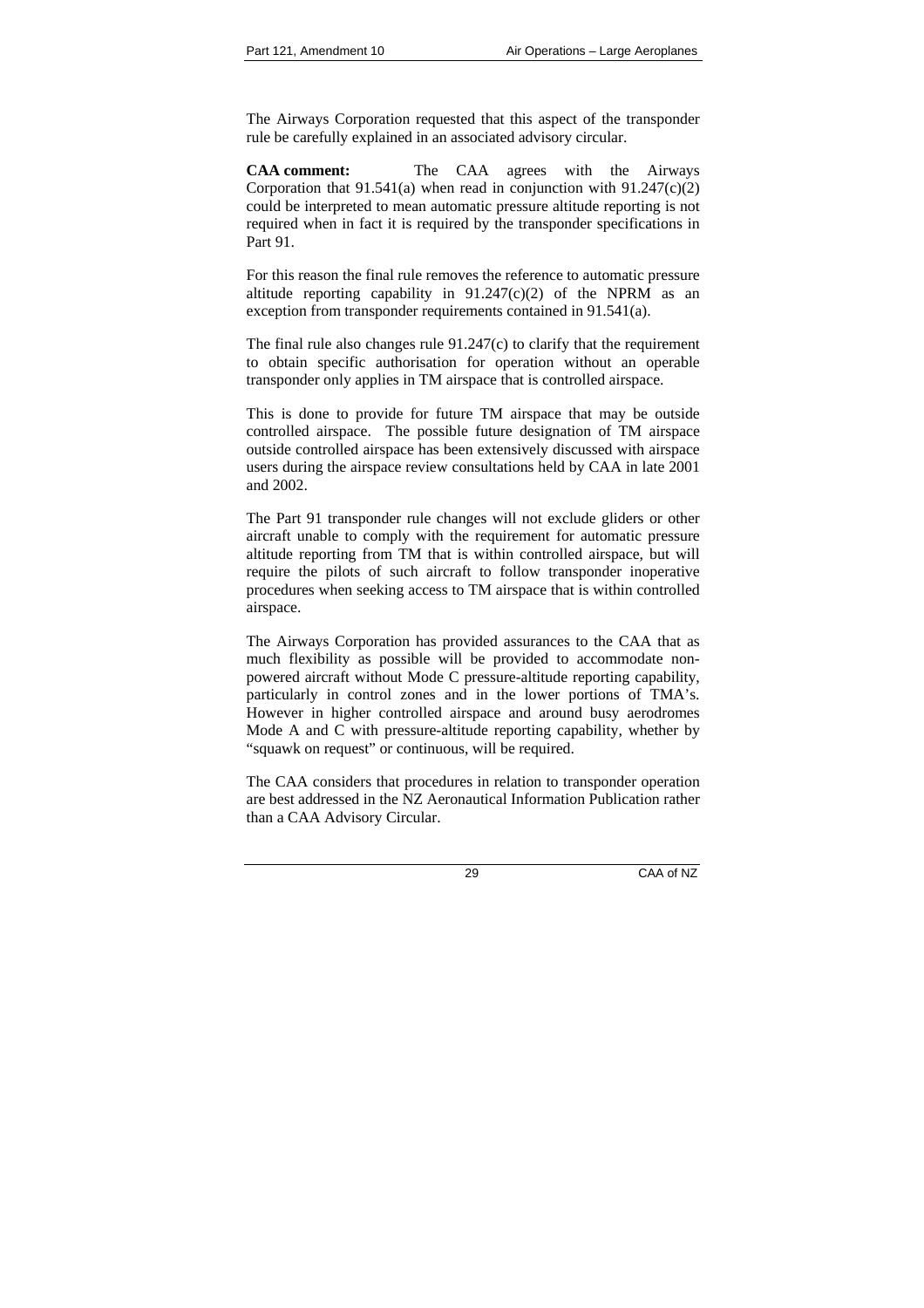The Airways Corporation requested that this aspect of the transponder rule be carefully explained in an associated advisory circular.

**CAA comment:** The CAA agrees with the Airways Corporation that  $91.541(a)$  when read in conjunction with  $91.247(c)(2)$ could be interpreted to mean automatic pressure altitude reporting is not required when in fact it is required by the transponder specifications in Part 91.

For this reason the final rule removes the reference to automatic pressure altitude reporting capability in  $91.247(c)(2)$  of the NPRM as an exception from transponder requirements contained in 91.541(a).

The final rule also changes rule 91.247(c) to clarify that the requirement to obtain specific authorisation for operation without an operable transponder only applies in TM airspace that is controlled airspace.

This is done to provide for future TM airspace that may be outside controlled airspace. The possible future designation of TM airspace outside controlled airspace has been extensively discussed with airspace users during the airspace review consultations held by CAA in late 2001 and 2002.

The Part 91 transponder rule changes will not exclude gliders or other aircraft unable to comply with the requirement for automatic pressure altitude reporting from TM that is within controlled airspace, but will require the pilots of such aircraft to follow transponder inoperative procedures when seeking access to TM airspace that is within controlled airspace.

The Airways Corporation has provided assurances to the CAA that as much flexibility as possible will be provided to accommodate nonpowered aircraft without Mode C pressure-altitude reporting capability, particularly in control zones and in the lower portions of TMA's. However in higher controlled airspace and around busy aerodromes Mode A and C with pressure-altitude reporting capability, whether by "squawk on request" or continuous, will be required.

The CAA considers that procedures in relation to transponder operation are best addressed in the NZ Aeronautical Information Publication rather than a CAA Advisory Circular.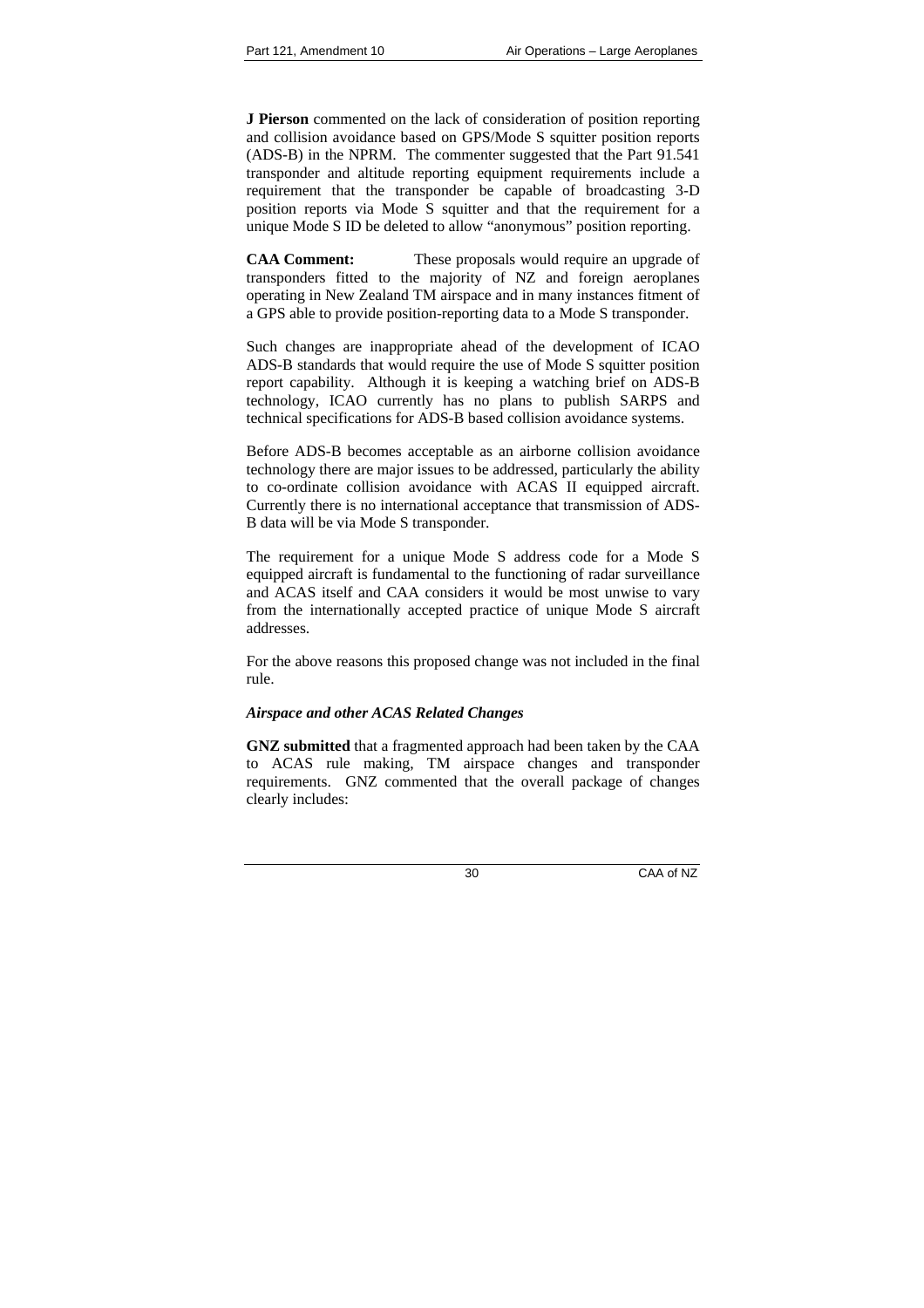**J Pierson** commented on the lack of consideration of position reporting and collision avoidance based on GPS/Mode S squitter position reports (ADS-B) in the NPRM. The commenter suggested that the Part 91.541 transponder and altitude reporting equipment requirements include a requirement that the transponder be capable of broadcasting 3-D position reports via Mode S squitter and that the requirement for a unique Mode S ID be deleted to allow "anonymous" position reporting.

**CAA Comment:** These proposals would require an upgrade of transponders fitted to the majority of NZ and foreign aeroplanes operating in New Zealand TM airspace and in many instances fitment of a GPS able to provide position-reporting data to a Mode S transponder.

Such changes are inappropriate ahead of the development of ICAO ADS-B standards that would require the use of Mode S squitter position report capability. Although it is keeping a watching brief on ADS-B technology, ICAO currently has no plans to publish SARPS and technical specifications for ADS-B based collision avoidance systems.

Before ADS-B becomes acceptable as an airborne collision avoidance technology there are major issues to be addressed, particularly the ability to co-ordinate collision avoidance with ACAS II equipped aircraft. Currently there is no international acceptance that transmission of ADS-B data will be via Mode S transponder.

The requirement for a unique Mode S address code for a Mode S equipped aircraft is fundamental to the functioning of radar surveillance and ACAS itself and CAA considers it would be most unwise to vary from the internationally accepted practice of unique Mode S aircraft addresses.

For the above reasons this proposed change was not included in the final rule.

## *Airspace and other ACAS Related Changes*

**GNZ submitted** that a fragmented approach had been taken by the CAA to ACAS rule making, TM airspace changes and transponder requirements. GNZ commented that the overall package of changes clearly includes: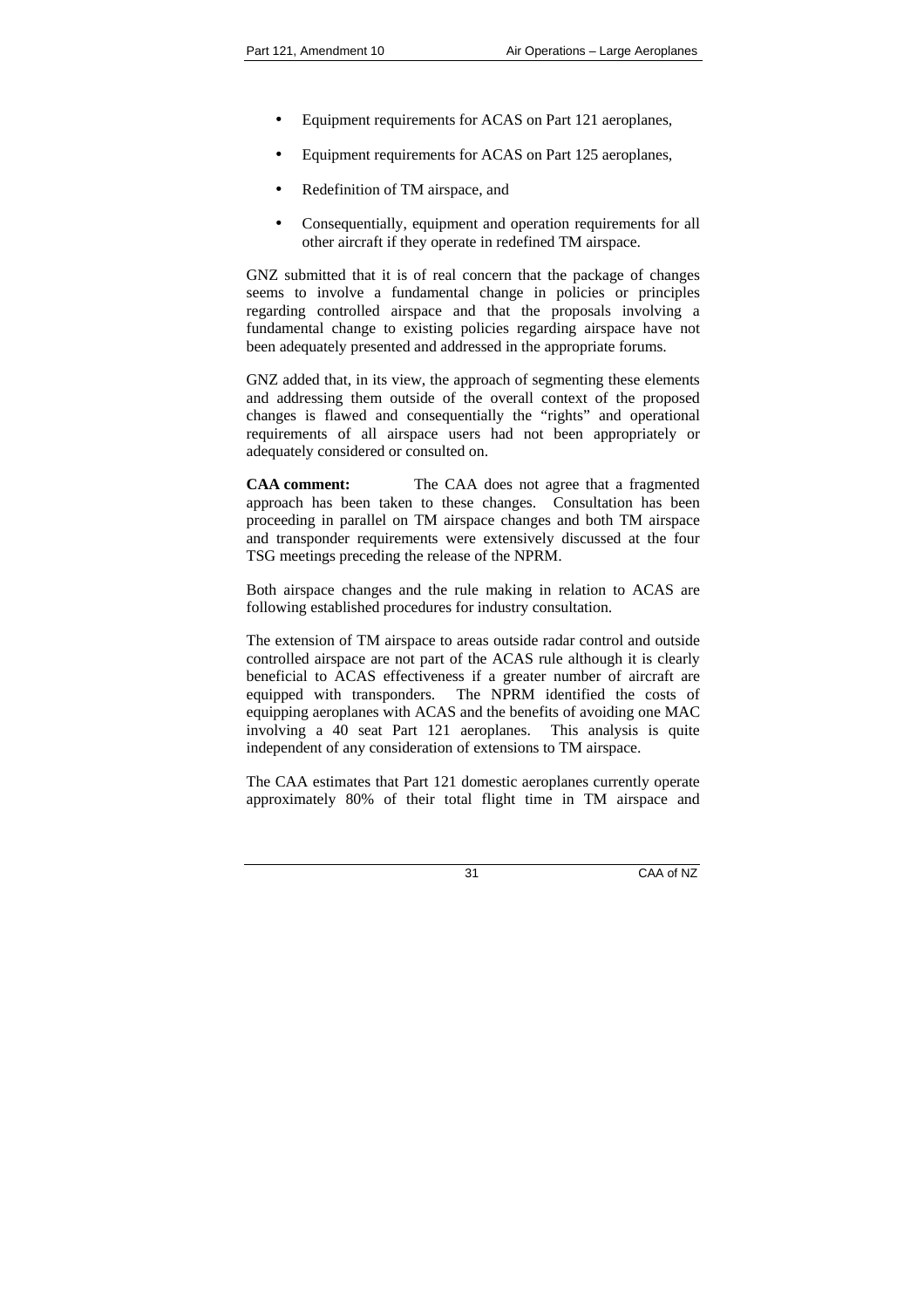- Equipment requirements for ACAS on Part 121 aeroplanes,
- Equipment requirements for ACAS on Part 125 aeroplanes,
- Redefinition of TM airspace, and
- Consequentially, equipment and operation requirements for all other aircraft if they operate in redefined TM airspace.

GNZ submitted that it is of real concern that the package of changes seems to involve a fundamental change in policies or principles regarding controlled airspace and that the proposals involving a fundamental change to existing policies regarding airspace have not been adequately presented and addressed in the appropriate forums.

GNZ added that, in its view, the approach of segmenting these elements and addressing them outside of the overall context of the proposed changes is flawed and consequentially the "rights" and operational requirements of all airspace users had not been appropriately or adequately considered or consulted on.

**CAA comment:** The CAA does not agree that a fragmented approach has been taken to these changes. Consultation has been proceeding in parallel on TM airspace changes and both TM airspace and transponder requirements were extensively discussed at the four TSG meetings preceding the release of the NPRM.

Both airspace changes and the rule making in relation to ACAS are following established procedures for industry consultation.

The extension of TM airspace to areas outside radar control and outside controlled airspace are not part of the ACAS rule although it is clearly beneficial to ACAS effectiveness if a greater number of aircraft are equipped with transponders. The NPRM identified the costs of equipping aeroplanes with ACAS and the benefits of avoiding one MAC involving a 40 seat Part 121 aeroplanes. This analysis is quite independent of any consideration of extensions to TM airspace.

The CAA estimates that Part 121 domestic aeroplanes currently operate approximately 80% of their total flight time in TM airspace and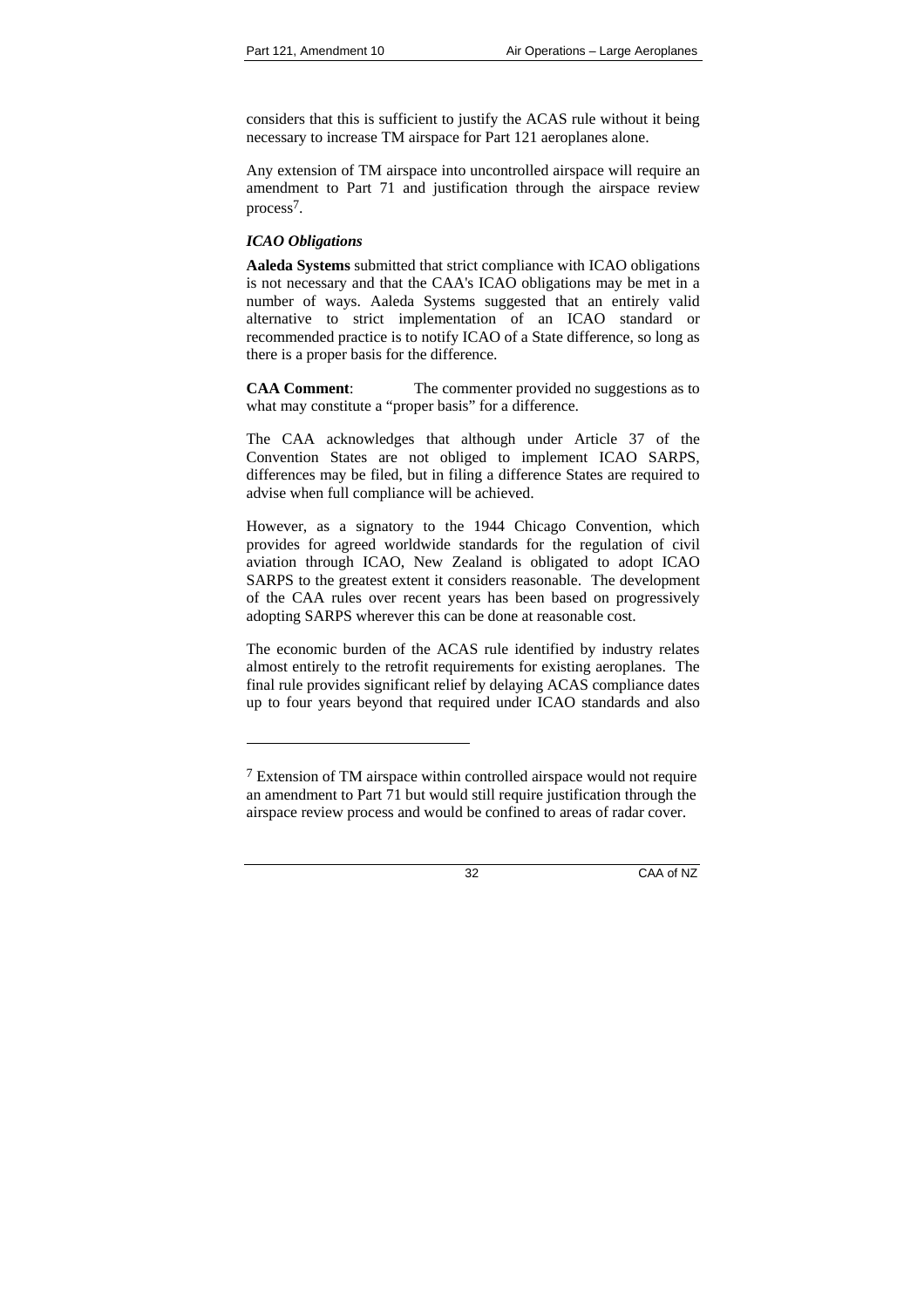considers that this is sufficient to justify the ACAS rule without it being necessary to increase TM airspace for Part 121 aeroplanes alone.

Any extension of TM airspace into uncontrolled airspace will require an amendment to Part 71 and justification through the airspace review process7.

## *ICAO Obligations*

l

**Aaleda Systems** submitted that strict compliance with ICAO obligations is not necessary and that the CAA's ICAO obligations may be met in a number of ways. Aaleda Systems suggested that an entirely valid alternative to strict implementation of an ICAO standard or recommended practice is to notify ICAO of a State difference, so long as there is a proper basis for the difference.

**CAA Comment:** The commenter provided no suggestions as to what may constitute a "proper basis" for a difference.

The CAA acknowledges that although under Article 37 of the Convention States are not obliged to implement ICAO SARPS, differences may be filed, but in filing a difference States are required to advise when full compliance will be achieved.

However, as a signatory to the 1944 Chicago Convention, which provides for agreed worldwide standards for the regulation of civil aviation through ICAO, New Zealand is obligated to adopt ICAO SARPS to the greatest extent it considers reasonable. The development of the CAA rules over recent years has been based on progressively adopting SARPS wherever this can be done at reasonable cost.

The economic burden of the ACAS rule identified by industry relates almost entirely to the retrofit requirements for existing aeroplanes. The final rule provides significant relief by delaying ACAS compliance dates up to four years beyond that required under ICAO standards and also

 $7$  Extension of TM airspace within controlled airspace would not require an amendment to Part 71 but would still require justification through the airspace review process and would be confined to areas of radar cover.